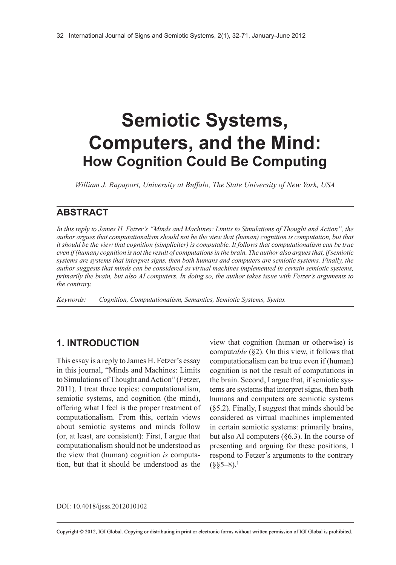# **Semiotic Systems, Computers, and the Mind: How Cognition Could Be Computing**

*William J. Rapaport, University at Buffalo, The State University of New York, USA*

## **ABSTRACT**

In this reply to James H. Fetzer's "Minds and Machines: Limits to Simulations of Thought and Action", the *author argues that computationalism should not be the view that (human) cognition is computation, but that* it should be the view that cognition (simpliciter) is computable. It follows that computationalism can be true *even if(human) cognition is not the result of computationsin the brain. The author also arguesthat, ifsemiotic systems are systems that interpret signs, then both humans and computers are semiotic systems. Finally, the author suggests that minds can be considered as virtual machines implemented in certain semiotic systems,* primarily the brain, but also AI computers. In doing so, the author takes issue with Fetzer's arguments to *the contrary.*

*Keywords: Cognition, Computationalism, Semantics, Semiotic Systems, Syntax*

## **1. INTRODUCTION**

This essay is a reply to James H. Fetzer's essay in this journal, "Minds and Machines: Limits to Simulations of Thought and Action" (Fetzer, 2011). I treat three topics: computationalism, semiotic systems, and cognition (the mind), offering what I feel is the proper treatment of computationalism. From this, certain views about semiotic systems and minds follow (or, at least, are consistent): First, I argue that computationalism should not be understood as the view that (human) cognition *is* computation, but that it should be understood as the

view that cognition (human or otherwise) is comput*able* (§2). On this view, it follows that computationalism can be true even if (human) cognition is not the result of computations in the brain. Second, I argue that, if semiotic systems are systems that interpret signs, then both humans and computers are semiotic systems (§5.2). Finally, I suggest that minds should be considered as virtual machines implemented in certain semiotic systems: primarily brains, but also AI computers (§6.3). In the course of presenting and arguing for these positions, I respond to Fetzer's arguments to the contrary  $($ §§5–8).<sup>1</sup>

DOI: 10.4018/ijsss.2012010102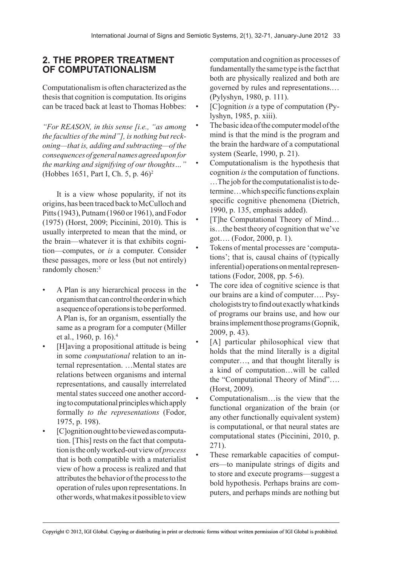## **2. THE PROPER TREATMENT OF COMPUTATIONALISM**

Computationalism is often characterized as the thesis that cognition is computation. Its origins can be traced back at least to Thomas Hobbes:

*"For REASON, in this sense [i.e., "as among*  $the$  *faculties* of the mind"], is nothing but reck*oning—that is, adding and subtracting—of the consequencesofgeneralnamesagreeduponfor the marking and signifying of our thoughts…"* (Hobbes 1651, Part I, Ch. 5, p. 46)2

It is a view whose popularity, if not its origins, has been traced back to McCulloch and Pitts (1943), Putnam (1960 or 1961), and Fodor (1975) (Horst, 2009; Piccinini, 2010). This is usually interpreted to mean that the mind, or the brain—whatever it is that exhibits cognition—computes, or *is* a computer. Consider these passages, more or less (but not entirely) randomly chosen:<sup>3</sup>

- A Plan is any hierarchical process in the organism that can control the order in which a sequence of operations is to be performed. A Plan is, for an organism, essentially the same as a program for a computer (Miller et al., 1960, p. 16).4
- [H]aving a propositional attitude is being in some *computational* relation to an internal representation. …Mental states are relations between organisms and internal representations, and causally interrelated mental states succeed one another according to computational principles which apply formally *to the representations* (Fodor, 1975, p. 198).
- [C]ognition ought to be viewed as computation. [This] rests on the fact that computation is the only worked-out view of *process* that is both compatible with a materialist view of how a process is realized and that attributes the behavior of the process to the operation of rules upon representations. In other words, what makes it possible to view

computation and cognition as processes of fundamentally the same type is the fact that both are physically realized and both are governed by rules and representations.… (Pylyshyn, 1980, p. 111).

- [C]ognition *is* a type of computation (Pylyshyn, 1985, p. xiii).
- The basic idea of the computer model of the mind is that the mind is the program and the brain the hardware of a computational system (Searle, 1990, p. 21).
- Computationalism is the hypothesis that cognition *is* the computation of functions. …The job for the computationalist is to determine…which specific functions explain specific cognitive phenomena (Dietrich, 1990, p. 135, emphasis added).
- [T]he Computational Theory of Mind... is…the best theory of cognition that we've got…. (Fodor, 2000, p. 1).
- Tokens of mental processes are 'computations'; that is, causal chains of (typically inferential) operations on mental representations (Fodor, 2008, pp. 5-6).
- The core idea of cognitive science is that our brains are a kind of computer…. Psychologists try to find out exactly what kinds of programs our brains use, and how our brains implement those programs (Gopnik, 2009, p. 43).
- [A] particular philosophical view that holds that the mind literally is a digital computer…, and that thought literally is a kind of computation…will be called the "Computational Theory of Mind"…. (Horst, 2009).
- Computationalism…is the view that the functional organization of the brain (or any other functionally equivalent system) is computational, or that neural states are computational states (Piccinini, 2010, p. 271).
- These remarkable capacities of computers—to manipulate strings of digits and to store and execute programs—suggest a bold hypothesis. Perhaps brains are computers, and perhaps minds are nothing but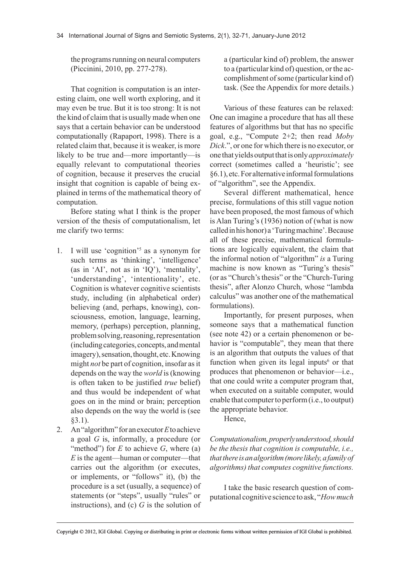the programs running on neural computers (Piccinini, 2010, pp. 277-278).

That cognition is computation is an interesting claim, one well worth exploring, and it may even be true. But it is too strong: It is not the kind of claim that is usually made when one says that a certain behavior can be understood computationally (Rapaport, 1998). There is a related claim that, because it is weaker, is more likely to be true and—more importantly—is equally relevant to computational theories of cognition, because it preserves the crucial insight that cognition is capable of being explained in terms of the mathematical theory of computation.

Before stating what I think is the proper version of the thesis of computationalism, let me clarify two terms:

- 1. I will use 'cognition'5 as a synonym for such terms as 'thinking', 'intelligence' (as in 'AI', not as in 'IQ'), 'mentality', 'understanding', 'intentionality', etc. Cognition is whatever cognitive scientists study, including (in alphabetical order) believing (and, perhaps, knowing), consciousness, emotion, language, learning, memory, (perhaps) perception, planning, problem solving, reasoning, representation (including categories, concepts, and mental imagery), sensation, thought, etc. Knowing might *not* be part of cognition, insofar as it depends on the way the *world* is (knowing is often taken to be justified *true* belief) and thus would be independent of what goes on in the mind or brain; perception also depends on the way the world is (see §3.1).
- 2. An "algorithm" for an executor *E* to achieve a goal *G* is, informally, a procedure (or "method") for  $E$  to achieve  $G$ , where (a) *E* is the agent—human or computer—that carries out the algorithm (or executes, or implements, or "follows" it), (b) the procedure is a set (usually, a sequence) of statements (or "steps", usually "rules" or instructions), and (c) *G* is the solution of

a (particular kind of) problem, the answer to a (particular kind of) question, or the accomplishment of some (particular kind of) task. (See the Appendix for more details.)

Various of these features can be relaxed: One can imagine a procedure that has all these features of algorithms but that has no specific goal, e.g., "Compute 2+2; then read *Moby Dick*.", or one for which there is no executor, or one that yields output that is only *approximately* correct (sometimes called a 'heuristic'; see §6.1), etc. For alternative informal formulations of "algorithm", see the Appendix.

Several different mathematical, hence precise, formulations of this still vague notion have been proposed, the most famous of which is Alan Turing's (1936) notion of (what is now called in his honor) a 'Turing machine'. Because all of these precise, mathematical formulations are logically equivalent, the claim that the informal notion of "algorithm" *is* a Turing machine is now known as "Turing's thesis" (or as "Church's thesis" or the "Church-Turing thesis", after Alonzo Church, whose "lambda calculus" was another one of the mathematical formulations).

Importantly, for present purposes, when someone says that a mathematical function (see note 42) or a certain phenomenon or behavior is "computable", they mean that there is an algorithm that outputs the values of that function when given its legal inputs $6$  or that produces that phenomenon or behavior—i.e., that one could write a computer program that, when executed on a suitable computer, would enable that computer to perform (i.e., to output) the appropriate behavior.

Hence,

*Computationalism,properlyunderstood,should be the thesis that cognition is computable, i.e., thatthereisanalgorithm(morelikely,afamilyof algorithms) that computes cognitive functions.*

I take the basic research question of computational cognitive science to ask, "*Howmuch*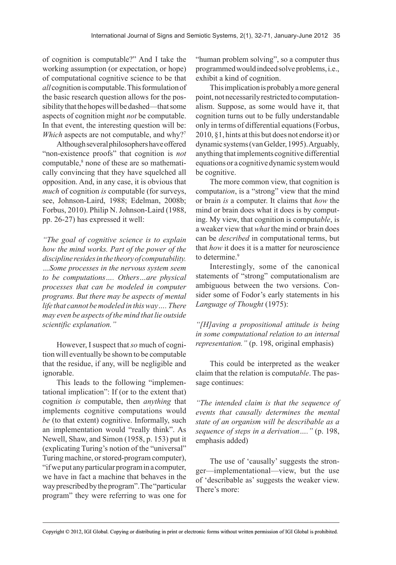of cognition is computable?" And I take the working assumption (or expectation, or hope) of computational cognitive science to be that *all* cognition is computable. This formulation of the basic research question allows for the possibility that the hopes will be dashed—that some aspects of cognition might *not* be computable. In that event, the interesting question will be: *Which* aspects are not computable, and why?<sup>7</sup>

Although several philosophers have offered "non-existence proofs" that cognition is *not* computable,<sup>8</sup> none of these are so mathematically convincing that they have squelched all opposition. And, in any case, it is obvious that *much* of cognition *is* computable (for surveys, see, Johnson-Laird, 1988; Edelman, 2008b; Forbus, 2010). Philip N. Johnson-Laird (1988, pp. 26-27) has expressed it well:

*"The goal of cognitive science is to explain how the mind works. Part of the power of the discipline residesinthe theoryof computability. …Some processes in the nervous system seem to be computations…. Others…are physical processes that can be modeled in computer programs. But there may be aspects of mental life that cannot bemodeled in thisway…. There may even be aspects of the mind that lie outside scientific explanation."*

However, I suspect that *so* much of cognition will eventually be shown to be computable that the residue, if any, will be negligible and ignorable.

This leads to the following "implementational implication": If (or to the extent that) cognition *is* computable, then *anything* that implements cognitive computations would *be* (to that extent) cognitive. Informally, such an implementation would "really think". As Newell, Shaw, and Simon (1958, p. 153) put it (explicating Turing's notion of the "universal" Turing machine, or stored-program computer), "if we put any particular program in a computer, we have in fact a machine that behaves in the way prescribed by the program". The "particular program" they were referring to was one for

"human problem solving", so a computer thus programmed would indeed solve problems, i.e., exhibit a kind of cognition.

This implication is probably a more general point, not necessarily restricted to computationalism. Suppose, as some would have it, that cognition turns out to be fully understandable only in terms of differential equations (Forbus, 2010, §1, hints at this but does not endorse it) or dynamic systems (van Gelder, 1995). Arguably, anything that implements cognitive differential equations or a cognitive dynamic system would be cognitive.

The more common view, that cognition is computa*tion*, is a "strong" view that the mind or brain *is* a computer. It claims that *how* the mind or brain does what it does is by computing. My view, that cognition is comput*able*, is a weaker view that *what* the mind or brain does can be *described* in computational terms, but that *how* it does it is a matter for neuroscience to determine.<sup>9</sup>

Interestingly, some of the canonical statements of "strong" computationalism are ambiguous between the two versions. Consider some of Fodor's early statements in his *Language of Thought* (1975):

*"[H]aving a propositional attitude is being in some computational relation to an internal representation."* (p. 198, original emphasis)

This could be interpreted as the weaker claim that the relation is comput*able*. The passage continues:

*"The intended claim is that the sequence of events that causally determines the mental state of an organism will be describable as a sequence of steps in a derivation…."* (p. 198, emphasis added)

The use of 'causally' suggests the stronger—implementational—view, but the use of 'describable as' suggests the weaker view. There's more: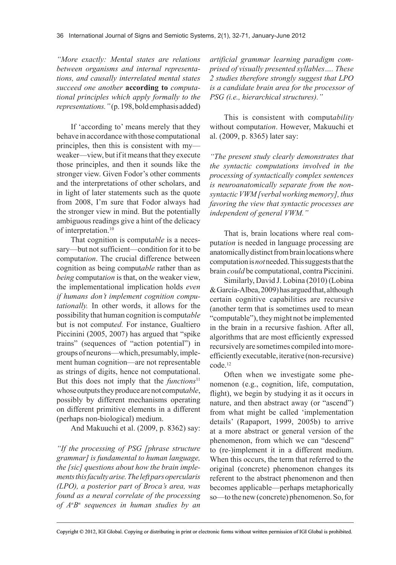*"More exactly: Mental states are relations between organisms and internal representations, and causally interrelated mental states succeed one another* **according to** *computational principles which apply formally to the representations."*(p. 198, bold emphasis added)

If 'according to' means merely that they behave in accordance with those computational principles, then this is consistent with my weaker—view, but if it means that they execute those principles, and then it sounds like the stronger view. Given Fodor's other comments and the interpretations of other scholars, and in light of later statements such as the quote from 2008, I'm sure that Fodor always had the stronger view in mind. But the potentially ambiguous readings give a hint of the delicacy of interpretation.<sup>10</sup>

That cognition is comput*able* is a necessary—but not sufficient—condition for it to be computa*tion*. The crucial difference between cognition as being comput*able* rather than as *being* computa*tion* is that, on the weaker view, the implementational implication holds *even if humans don't implement cognition computationally.* In other words, it allows for the possibility that human cognition is comput*able* but is not comput*ed.* For instance, Gualtiero Piccinini (2005, 2007) has argued that "spike trains" (sequences of "action potential") in groups of neurons—which, presumably, implement human cognition—are not representable as strings of digits, hence not computational. But this does not imply that the *functions*<sup>11</sup> whose outputs they produce are not comput*able*, possibly by different mechanisms operating on different primitive elements in a different (perhaps non-biological) medium.

And Makuuchi et al. (2009, p. 8362) say:

*"If the processing of PSG [phrase structure grammar] is fundamental to human language, the [sic] questions about how the brain implementsthisfacultyarise.Theleftparsopercularis (LPO), a posterior part of Broca's area, was found as a neural correlate of the processing of An Bn sequences in human studies by an*

*artificial grammar learning paradigm comprised of visually presented syllables…. These 2 studies therefore strongly suggest that LPO is a candidate brain area for the processor of PSG (i.e., hierarchical structures)."*

This is consistent with comput*ability* without computa*tion*. However, Makuuchi et al. (2009, p. 8365) later say:

*"The present study clearly demonstrates that the syntactic computations involved in the processing of syntactically complex sentences is neuroanatomically separate from the nonsyntacticVWM [verbalworkingmemory], thus favoring the view that syntactic processes are independent of general VWM."*

That is, brain locations where real computa*tion* is needed in language processing are anatomically distinct from brain locations where computation is *not* needed. This suggests that the brain *could* be computational, contra Piccinini.

Similarly, David J. Lobina (2010) (Lobina & García-Albea, 2009) has argued that, although certain cognitive capabilities are recursive (another term that is sometimes used to mean "computable"), they might not be implemented in the brain in a recursive fashion. After all, algorithms that are most efficiently expressed recursively are sometimes compiled into moreefficiently executable, iterative (non-recursive) code.12

Often when we investigate some phenomenon (e.g., cognition, life, computation, flight), we begin by studying it as it occurs in nature, and then abstract away (or "ascend") from what might be called 'implementation details' (Rapaport, 1999, 2005b) to arrive at a more abstract or general version of the phenomenon, from which we can "descend" to (re-)implement it in a different medium. When this occurs, the term that referred to the original (concrete) phenomenon changes its referent to the abstract phenomenon and then becomes applicable—perhaps metaphorically so—to the new (concrete) phenomenon. So, for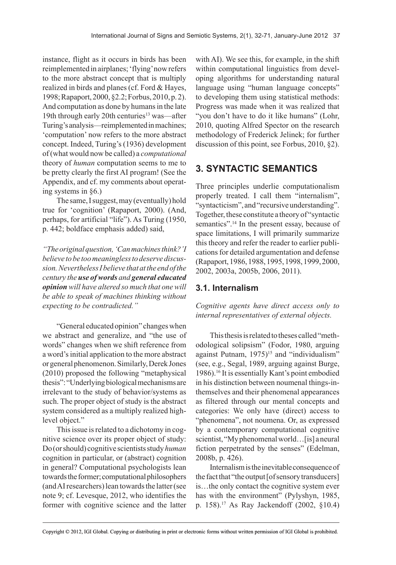instance, flight as it occurs in birds has been reimplemented in airplanes; 'flying' now refers to the more abstract concept that is multiply realized in birds and planes (cf. Ford & Hayes, 1998; Rapaport, 2000, §2.2; Forbus, 2010, p. 2). And computation as done by humans in the late 19th through early 20th centuries<sup>13</sup> was—after Turing's analysis—reimplemented in machines; 'computation' now refers to the more abstract concept. Indeed, Turing's (1936) development of (what would now be called) a *computational* theory of *human* computation seems to me to be pretty clearly the first AI program! (See the Appendix, and cf. my comments about operating systems in §6.)

The same, I suggest, may (eventually) hold true for 'cognition' (Rapaport, 2000). (And, perhaps, for artificial "life"). As Turing (1950, p. 442; boldface emphasis added) said,

*"Theoriginalquestion,'Canmachinesthink?'I believe tobe toomeaninglesstodeservediscussion.NeverthelessIbelieve thatatthe endofthe century the use of words and general educated opinion will have altered so much that one will be able to speak of machines thinking without expecting to be contradicted."*

"General educated opinion" changes when we abstract and generalize, and "the use of words" changes when we shift reference from a word's initial application to the more abstract or general phenomenon. Similarly, Derek Jones (2010) proposed the following "metaphysical thesis": "Underlying biological mechanisms are irrelevant to the study of behavior/systems as such. The proper object of study is the abstract system considered as a multiply realized highlevel object."

This issue is related to a dichotomy in cognitive science over its proper object of study: Do (or should) cognitive scientists study *human* cognition in particular, or (abstract) cognition in general? Computational psychologists lean towards the former; computational philosophers (and AI researchers) lean towards the latter (see note 9; cf. Levesque, 2012, who identifies the former with cognitive science and the latter with AI). We see this, for example, in the shift within computational linguistics from developing algorithms for understanding natural language using "human language concepts" to developing them using statistical methods: Progress was made when it was realized that "you don't have to do it like humans" (Lohr, 2010, quoting Alfred Spector on the research methodology of Frederick Jelinek; for further discussion of this point, see Forbus, 2010, §2).

## **3. SYNTACTIC SEMANTICS**

Three principles underlie computationalism properly treated. I call them "internalism", "syntacticism", and "recursive understanding". Together, these constitute a theory of "syntactic semantics".14 In the present essay, because of space limitations, I will primarily summarize this theory and refer the reader to earlier publications for detailed argumentation and defense (Rapaport, 1986, 1988, 1995, 1998, 1999, 2000, 2002, 2003a, 2005b, 2006, 2011).

## **3.1. Internalism**

*Cognitive agents have direct access only to internal representatives of external objects.*

This thesis is related to theses called "methodological solipsism" (Fodor, 1980, arguing against Putnam,  $1975$ <sup>15</sup> and "individualism" (see, e.g., Segal, 1989, arguing against Burge, 1986).16 It is essentially Kant's point embodied in his distinction between noumenal things-inthemselves and their phenomenal appearances as filtered through our mental concepts and categories: We only have (direct) access to "phenomena", not noumena. Or, as expressed by a contemporary computational cognitive scientist, "My phenomenal world…[is] a neural fiction perpetrated by the senses" (Edelman, 2008b, p. 426).

Internalism is the inevitable consequence of the fact that "the output [of sensory transducers] is…the only contact the cognitive system ever has with the environment" (Pylyshyn, 1985, p. 158).17 As Ray Jackendoff (2002, §10.4)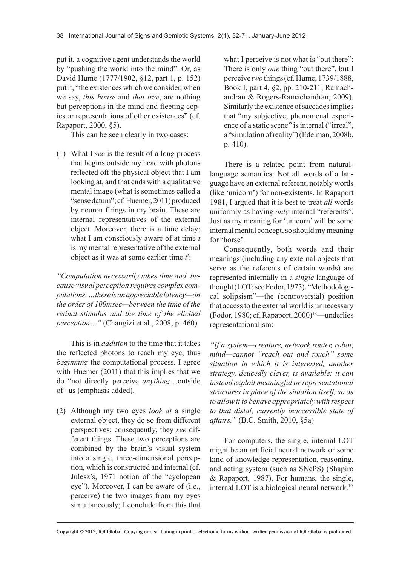put it, a cognitive agent understands the world by "pushing the world into the mind". Or, as David Hume (1777/1902, §12, part 1, p. 152) put it, "the existences which we consider, when we say, *this house* and *that tree*, are nothing but perceptions in the mind and fleeting copies or representations of other existences" (cf. Rapaport, 2000, §5).

This can be seen clearly in two cases:

(1) What I *see* is the result of a long process that begins outside my head with photons reflected off the physical object that I am looking at, and that ends with a qualitative mental image (what is sometimes called a "sense datum"; cf. Huemer, 2011) produced by neuron firings in my brain. These are internal representatives of the external object. Moreover, there is a time delay; what I am consciously aware of at time *t* is my mental representative of the external object as it was at some earlier time *t*′:

*"Computation necessarily takes time and, because visual perception requires complex computations,…thereisanappreciablelatency—on the order of 100msec—between the time of the retinal stimulus and the time of the elicited perception…"* (Changizi et al., 2008, p. 460)

This is in *addition* to the time that it takes the reflected photons to reach my eye, thus *beginning* the computational process. I agree with Huemer (2011) that this implies that we do "not directly perceive *anything*…outside of" us (emphasis added).

(2) Although my two eyes *look at* a single external object, they do so from different perspectives; consequently, they *see* different things. These two perceptions are combined by the brain's visual system into a single, three-dimensional perception, which is constructed and internal (cf. Julesz's, 1971 notion of the "cyclopean eye"). Moreover, I can be aware of (i.e., perceive) the two images from my eyes simultaneously; I conclude from this that what I perceive is not what is "out there": There is only *one* thing "out there", but I perceive *two* things (cf. Hume, 1739/1888, Book I, part 4, §2, pp. 210-211; Ramachandran & Rogers-Ramachandran, 2009). Similarly the existence of saccades implies that "my subjective, phenomenal experience of a static scene" is internal ("irreal", a "simulation of reality") (Edelman, 2008b, p. 410).

There is a related point from naturallanguage semantics: Not all words of a language have an external referent, notably words (like 'unicorn') for non-existents. In Rapaport 1981, I argued that it is best to treat *all* words uniformly as having *only* internal "referents". Just as my meaning for 'unicorn' will be some internal mental concept, so should my meaning for 'horse'.

Consequently, both words and their meanings (including any external objects that serve as the referents of certain words) are represented internally in a *single* language of thought (LOT; see Fodor, 1975). "Methodological solipsism"—the (controversial) position that access to the external world is unnecessary (Fodor, 1980; cf. Rapaport, 2000)18—underlies representationalism:

*"If a system—creature, network router, robot, mind—cannot "reach out and touch" some situation in which it is interested, another strategy, deucedly clever, is available: it can instead exploit meaningful orrepresentational structures in place of the situation itself, so as to allowit to behave appropriatelywith respect to that distal, currently inaccessible state of affairs."* (B.C. Smith, 2010, §5a)

For computers, the single, internal LOT might be an artificial neural network or some kind of knowledge-representation, reasoning, and acting system (such as SNePS) (Shapiro & Rapaport, 1987). For humans, the single, internal LOT is a biological neural network.19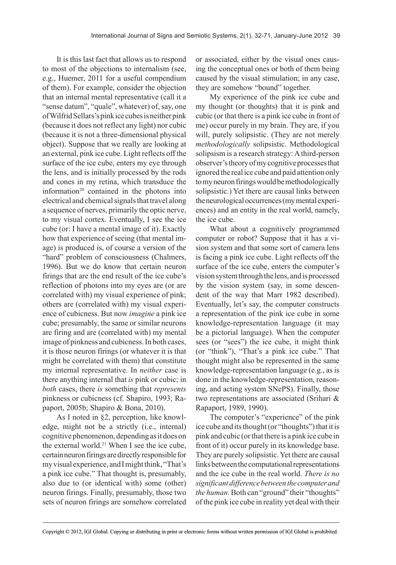It is this last fact that allows us to respond to most of the objections to internalism (see, e.g., Huemer, 2011 for a useful compendium of them). For example, consider the objection that an internal mental representative (call it a "sense datum", "quale", whatever) of, say, one of Wilfrid Sellars's pink ice cubes is neither pink (because it does not reflect any light) nor cubic (because it is not a three-dimensional physical object). Suppose that we really are looking at an external, pink ice cube. Light reflects off the surface of the ice cube, enters my eye through the lens, and is initially processed by the rods and cones in my retina, which transduce the information $20$  contained in the photons into electrical and chemical signals that travel along a sequence of nerves, primarily the optic nerve, to my visual cortex. Eventually, I see the ice cube (or: I have a mental image of it). Exactly how that experience of seeing (that mental image) is produced is, of course a version of the "hard" problem of consciousness (Chalmers, 1996). But we do know that certain neuron firings that are the end result of the ice cube's reflection of photons into my eyes are (or are correlated with) my visual experience of pink; others are (correlated with) my visual experience of cubicness. But now *imagine* a pink ice cube; presumably, the same or similar neurons are firing and are (correlated with) my mental image of pinkness and cubicness. In both cases, it is those neuron firings (or whatever it is that might be correlated with them) that constitute my internal representative. In *neither* case is there anything internal that *is* pink or cubic; in *both* cases, there *is* something that *represents* pinkness or cubicness (cf. Shapiro, 1993; Rapaport, 2005b; Shapiro & Bona, 2010).

As I noted in §2, perception, like knowledge, might not be a strictly (i.e., internal) cognitive phenomenon, depending as it does on the external world.<sup>21</sup> When I see the ice cube, certain neuron firings are directly responsible for my visual experience, and I might think, "That's a pink ice cube." That thought is, presumably, also due to (or identical with) some (other) neuron firings. Finally, presumably, those two sets of neuron firings are somehow correlated or associated, either by the visual ones causing the conceptual ones or both of them being caused by the visual stimulation; in any case, they are somehow "bound" together.

My experience of the pink ice cube and my thought (or thoughts) that it is pink and cubic (or that there is a pink ice cube in front of me) occur purely in my brain. They are, if you will, purely solipsistic. (They are not merely *methodologically* solipsistic. Methodological solipsism is a research strategy: A third-person observer's theory of my cognitive processes that ignored the real ice cube and paid attention only to my neuron firings would be methodologically solipsistic.) Yet there are causal links between the neurological occurrences (my mental experiences) and an entity in the real world, namely, the ice cube.

What about a cognitively programmed computer or robot? Suppose that it has a vision system and that some sort of camera lens is facing a pink ice cube. Light reflects off the surface of the ice cube, enters the computer's vision system through the lens, and is processed by the vision system (say, in some descendent of the way that Marr 1982 described). Eventually, let's say, the computer constructs a representation of the pink ice cube in some knowledge-representation language (it may be a pictorial language). When the computer sees (or "sees") the ice cube, it might think (or "think"), "That's a pink ice cube." That thought might also be represented in the same knowledge-representation language (e.g., as is done in the knowledge-representation, reasoning, and acting system SNePS). Finally, those two representations are associated (Srihari & Rapaport, 1989, 1990).

The computer's "experience" of the pink ice cube and its thought (or "thoughts") that it is pink and cubic (or that there is a pink ice cube in front of it) occur purely in its knowledge base. They are purely solipsistic. Yet there are causal links between the computational representations and the ice cube in the real world. *There is no significantdifferencebetweenthe computerand the human.* Both can "ground" their "thoughts" of the pink ice cube in reality yet deal with their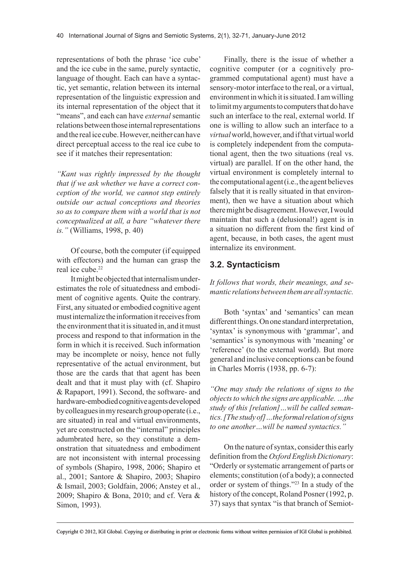representations of both the phrase 'ice cube' and the ice cube in the same, purely syntactic, language of thought. Each can have a syntactic, yet semantic, relation between its internal representation of the linguistic expression and its internal representation of the object that it "means", and each can have *external* semantic relations between those internal representations and the real ice cube. However, neither can have direct perceptual access to the real ice cube to see if it matches their representation:

*"Kant was rightly impressed by the thought that if we ask whether we have a correct conception of the world, we cannot step entirely outside our actual conceptions and theories so as to compare them with a world that is not conceptualized at all, a bare "whatever there is."* (Williams, 1998, p. 40)

Of course, both the computer (if equipped with effectors) and the human can grasp the real ice cube.<sup>22</sup>

It might be objected that internalism underestimates the role of situatedness and embodiment of cognitive agents. Quite the contrary. First, any situated or embodied cognitive agent must internalize the information it receives from the environment that it is situated in, and it must process and respond to that information in the form in which it is received. Such information may be incomplete or noisy, hence not fully representative of the actual environment, but those are the cards that that agent has been dealt and that it must play with (cf. Shapiro & Rapaport, 1991). Second, the software- and hardware-embodied cognitive agents developed by colleagues in my research group operate (i.e., are situated) in real and virtual environments, yet are constructed on the "internal" principles adumbrated here, so they constitute a demonstration that situatedness and embodiment are not inconsistent with internal processing of symbols (Shapiro, 1998, 2006; Shapiro et al., 2001; Santore & Shapiro, 2003; Shapiro & Ismail, 2003; Goldfain, 2006; Anstey et al., 2009; Shapiro & Bona, 2010; and cf. Vera & Simon, 1993).

Finally, there is the issue of whether a cognitive computer (or a cognitively programmed computational agent) must have a sensory-motor interface to the real, or a virtual, environment in which it is situated. I am willing to limit my arguments to computers that do have such an interface to the real, external world. If one is willing to allow such an interface to a *virtual* world, however, and if that virtual world is completely independent from the computational agent, then the two situations (real vs. virtual) are parallel. If on the other hand, the virtual environment is completely internal to the computational agent (i.e., the agent believes falsely that it is really situated in that environment), then we have a situation about which there might be disagreement. However, I would maintain that such a (delusional!) agent is in a situation no different from the first kind of agent, because, in both cases, the agent must internalize its environment.

#### **3.2. Syntacticism**

*It follows that words, their meanings, and semantic relationsbetweenthemareallsyntactic.*

Both 'syntax' and 'semantics' can mean different things. On one standard interpretation, 'syntax' is synonymous with 'grammar', and 'semantics' is synonymous with 'meaning' or 'reference' (to the external world). But more general and inclusive conceptions can be found in Charles Morris (1938, pp. 6-7):

*"One may study the relations of signs to the <i>objects to which the signs are applicable. ...the study of this [relation]…will be called semantics.[The studyof]…the formalrelationofsigns to one another…will be named syntactics."*

On the nature of syntax, consider this early definition from the *Oxford English Dictionary*: "Orderly or systematic arrangement of parts or elements; constitution (of a body); a connected order or system of things."23 In a study of the history of the concept, Roland Posner (1992, p. 37) says that syntax "is that branch of Semiot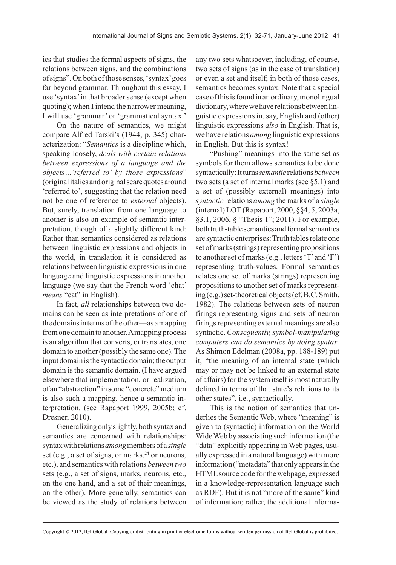ics that studies the formal aspects of signs, the relations between signs, and the combinations of signs". On both of those senses, 'syntax' goes far beyond grammar. Throughout this essay, I use 'syntax' in that broader sense (except when quoting); when I intend the narrower meaning, I will use 'grammar' or 'grammatical syntax.'

On the nature of semantics, we might compare Alfred Tarski's (1944, p. 345) characterization: "*Semantics* is a discipline which, speaking loosely, *deals with certain relations between expressions of a language and the objects…'referred to' by those expressions*" (original italics and original scare quotes around 'referred to', suggesting that the relation need not be one of reference to *external* objects). But, surely, translation from one language to another is also an example of semantic interpretation, though of a slightly different kind: Rather than semantics considered as relations between linguistic expressions and objects in the world, in translation it is considered as relations between linguistic expressions in one language and linguistic expressions in another language (we say that the French word 'chat' *means* "cat" in English).

In fact, *all* relationships between two domains can be seen as interpretations of one of the domains in terms of the other—as a mapping from one domain to another. A mapping process is an algorithm that converts, or translates, one domain to another (possibly the same one). The input domain is the syntactic domain; the output domain is the semantic domain. (I have argued elsewhere that implementation, or realization, of an "abstraction" in some "concrete" medium is also such a mapping, hence a semantic interpretation. (see Rapaport 1999, 2005b; cf. Dresner, 2010).

Generalizing only slightly, both syntax and semantics are concerned with relationships: syntax with relations *among* members of a *single* set (e.g., a set of signs, or marks,  $24$  or neurons, etc.), and semantics with relations *between two* sets (e.g., a set of signs, marks, neurons, etc., on the one hand, and a set of their meanings, on the other). More generally, semantics can be viewed as the study of relations between

any two sets whatsoever, including, of course, two sets of signs (as in the case of translation) or even a set and itself; in both of those cases, semantics becomes syntax. Note that a special case of this is found in an ordinary, monolingual dictionary, where we have relations between linguistic expressions in, say, English and (other) linguistic expressions *also* in English. That is, we have relations *among* linguistic expressions in English. But this is syntax!

"Pushing" meanings into the same set as symbols for them allows semantics to be done syntactically: It turns *semantic* relations *between* two sets (a set of internal marks (see §5.1) and a set of (possibly external) meanings) into *syntactic* relations *among* the marks of a *single* (internal) LOT (Rapaport, 2000, §§4, 5, 2003a, §3.1, 2006, § "Thesis 1"; 2011). For example, both truth-table semantics and formal semantics are syntactic enterprises: Truth tables relate one set of marks (strings) representing propositions to another set of marks (e.g., letters 'T' and 'F') representing truth-values. Formal semantics relates one set of marks (strings) representing propositions to another set of marks representing (e.g.) set-theoretical objects (cf. B.C. Smith, 1982). The relations between sets of neuron firings representing signs and sets of neuron firings representing external meanings are also syntactic. Consequently, symbol-manipulating *computers can do semantics by doing syntax.* As Shimon Edelman (2008a, pp. 188-189) put it, "the meaning of an internal state (which may or may not be linked to an external state of affairs) for the system itself is most naturally defined in terms of that state's relations to its other states", i.e., syntactically.

This is the notion of semantics that underlies the Semantic Web, where "meaning" is given to (syntactic) information on the World Wide Web by associating such information (the "data" explicitly appearing in Web pages, usually expressed in a natural language) with more information ("metadata" that only appears in the HTML source code for the webpage, expressed in a knowledge-representation language such as RDF). But it is not "more of the same" kind of information; rather, the additional informa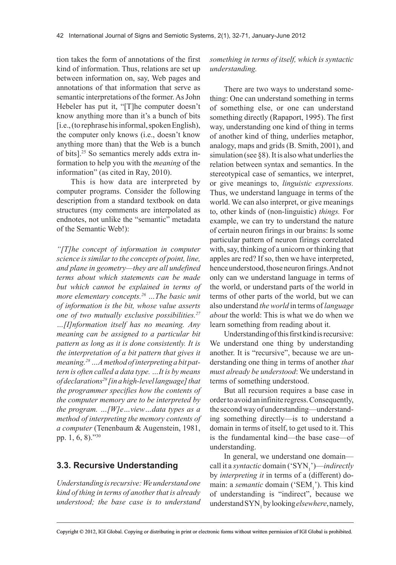tion takes the form of annotations of the first kind of information. Thus, relations are set up between information on, say, Web pages and annotations of that information that serve as semantic interpretations of the former. As John Hebeler has put it, "[T]he computer doesn't know anything more than it's a bunch of bits [i.e., (to rephrase his informal, spoken English), the computer only knows (i.e., doesn't know anything more than) that the Web is a bunch of bits].25 So semantics merely adds extra information to help you with the *meaning* of the information" (as cited in Ray, 2010).

This is how data are interpreted by computer programs. Consider the following description from a standard textbook on data structures (my comments are interpolated as endnotes, not unlike the "semantic" metadata of the Semantic Web!):

*"[T]he concept of information in computer science issimilarto the concepts of point, line, and plane in geometry—they are all undefined terms about which statements can be made but which cannot be explained in terms of more elementary concepts.26 …The basic unit of information is the bit, whose value asserts one of two mutually exclusive possibilities.27 …[I]nformation itself has no meaning. Any meaning can be assigned to a particular bit pattern as long as it is done consistently. It is the interpretation of a bit pattern that gives it meaning.28…Amethod ofinterpreting a bit pattern is often called a data type. …It is by means ofdeclarations29 [inahigh-levellanguage]that the programmer specifies how the contents of the computer memory are to be interpreted by the program. …[W]e…view…data types as a method of interpreting the memory contents of a computer* (Tenenbaum & Augenstein, 1981, pp. 1, 6, 8)."30

#### **3.3. Recursive Understanding**

*Understandingisrecursive:Weunderstandone kind of thing in terms of anotherthat is already understood; the base case is to understand* *something in terms of itself, which is syntactic understanding.*

There are two ways to understand something: One can understand something in terms of something else, or one can understand something directly (Rapaport, 1995). The first way, understanding one kind of thing in terms of another kind of thing, underlies metaphor, analogy, maps and grids (B. Smith, 2001), and simulation (see §8). It is also what underlies the relation between syntax and semantics. In the stereotypical case of semantics, we interpret, or give meanings to, *linguistic expressions.* Thus, we understand language in terms of the world. We can also interpret, or give meanings to, other kinds of (non-linguistic) *things.* For example, we can try to understand the nature of certain neuron firings in our brains: Is some particular pattern of neuron firings correlated with, say, thinking of a unicorn or thinking that apples are red? If so, then we have interpreted, hence understood, those neuron firings. And not only can we understand language in terms of the world, or understand parts of the world in terms of other parts of the world, but we can also understand *the world* in terms of *language about* the world: This is what we do when we learn something from reading about it.

Understanding of this first kind is recursive: We understand one thing by understanding another. It is "recursive", because we are understanding one thing in terms of another *that must already be understood*: We understand in terms of something understood.

But all recursion requires a base case in order to avoid an infinite regress. Consequently, the second way of understanding—understanding something directly—is to understand a domain in terms of itself, to get used to it. This is the fundamental kind—the base case—of understanding.

In general, we understand one domain call it a *syntactic* domain ('SYN<sub>1</sub>')—*indirectly* by *interpreting it* in terms of a (different) domain: a *semantic* domain ('SEM<sub>1</sub>'). This kind of understanding is "indirect", because we understand SYN<sub>1</sub> by looking *elsewhere*, namely,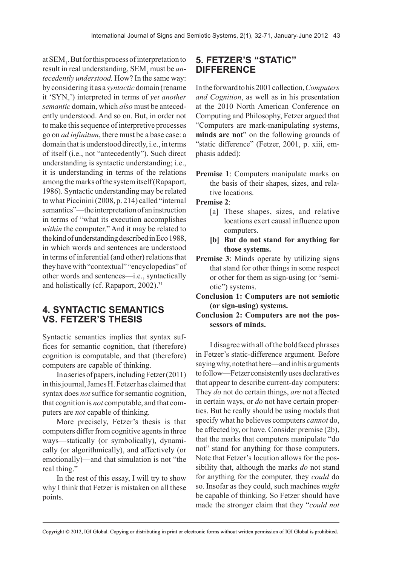at  $SEM<sub>1</sub>$ . But for this process of interpretation to result in real understanding, SEM<sub>1</sub> must be *antecedently understood.* How? In the same way: by considering it as a *syntactic* domain (rename it 'SYN2 ') interpreted in terms of *yet another semantic* domain, which *also* must be antecedently understood. And so on. But, in order not to make this sequence of interpretive processes go on *ad infinitum*, there must be a base case: a domain that is understood directly, i.e., in terms of itself (i.e., not "antecedently"). Such direct understanding is syntactic understanding; i.e., it is understanding in terms of the relations among the marks of the system itself (Rapaport, 1986). Syntactic understanding may be related to what Piccinini (2008, p. 214) called "internal semantics"—the interpretation of an instruction in terms of "what its execution accomplishes *within* the computer." And it may be related to the kind of understanding described in Eco 1988, in which words and sentences are understood in terms of inferential (and other) relations that they have with "contextual" "encyclopedias" of other words and sentences—i.e., syntactically and holistically (cf. Rapaport, 2002).<sup>31</sup>

## **4. SYNTACTIC SEMANTICS VS. FETZER'S THESIS**

Syntactic semantics implies that syntax suffices for semantic cognition, that (therefore) cognition is computable, and that (therefore) computers are capable of thinking.

In a series of papers, including Fetzer (2011) in this journal, James H. Fetzer has claimed that syntax does *not* suffice for semantic cognition, that cognition is *not* computable, and that computers are *not* capable of thinking.

More precisely, Fetzer's thesis is that computers differ from cognitive agents in three ways—statically (or symbolically), dynamically (or algorithmically), and affectively (or emotionally)—and that simulation is not "the real thing."

In the rest of this essay, I will try to show why I think that Fetzer is mistaken on all these points.

## **5. FETZER'S "STATIC" DIFFERENCE**

In the forward to his 2001 collection, *Computers and Cognition*, as well as in his presentation at the 2010 North American Conference on Computing and Philosophy, Fetzer argued that "Computers are mark-manipulating systems, **minds are not**" on the following grounds of "static difference" (Fetzer, 2001, p. xiii, emphasis added):

**Premise 1**: Computers manipulate marks on the basis of their shapes, sizes, and relative locations.

**Premise 2**:

- [a] These shapes, sizes, and relative locations exert causal influence upon computers.
- **[b] But do not stand for anything for those systems.**
- **Premise 3**: Minds operate by utilizing signs that stand for other things in some respect or other for them as sign-using (or "semiotic") systems.
- **Conclusion 1: Computers are not semiotic (or sign-using) systems.**
- **Conclusion 2: Computers are not the possessors of minds.**

I disagree with all of the boldfaced phrases in Fetzer's static-difference argument. Before saying why, note that here—and in his arguments to follow—Fetzer consistently uses declaratives that appear to describe current-day computers: They *do* not do certain things, *are* not affected in certain ways, or *do* not have certain properties. But he really should be using modals that specify what he believes computers *cannot* do, be affected by, or have. Consider premise (2b), that the marks that computers manipulate "do not" stand for anything for those computers. Note that Fetzer's locution allows for the possibility that, although the marks *do* not stand for anything for the computer, they *could* do so. Insofar as they could, such machines *might* be capable of thinking. So Fetzer should have made the stronger claim that they "*could not*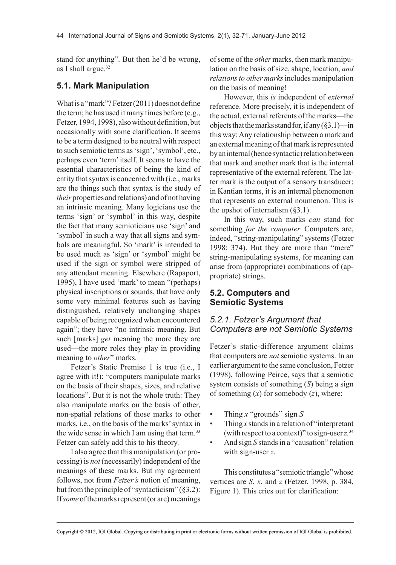stand for anything". But then he'd be wrong, as I shall argue.<sup>32</sup>

#### **5.1. Mark Manipulation**

What is a "mark"? Fetzer (2011) does not define the term; he has used it many times before (e.g., Fetzer, 1994, 1998), also without definition, but occasionally with some clarification. It seems to be a term designed to be neutral with respect to such semiotic terms as 'sign', 'symbol', etc., perhaps even 'term' itself. It seems to have the essential characteristics of being the kind of entity that syntax is concerned with (i.e., marks are the things such that syntax is the study of *their* properties and relations) and of not having an intrinsic meaning. Many logicians use the terms 'sign' or 'symbol' in this way, despite the fact that many semioticians use 'sign' and 'symbol' in such a way that all signs and symbols are meaningful. So 'mark' is intended to be used much as 'sign' or 'symbol' might be used if the sign or symbol were stripped of any attendant meaning. Elsewhere (Rapaport, 1995), I have used 'mark' to mean "(perhaps) physical inscriptions or sounds, that have only some very minimal features such as having distinguished, relatively unchanging shapes capable of being recognized when encountered again"; they have "no intrinsic meaning. But such [marks] *get* meaning the more they are used—the more roles they play in providing meaning to *other*" marks.

Fetzer's Static Premise 1 is true (i.e., I agree with it!): "computers manipulate marks on the basis of their shapes, sizes, and relative locations". But it is not the whole truth: They also manipulate marks on the basis of other, non-spatial relations of those marks to other marks, i.e., on the basis of the marks' syntax in the wide sense in which I am using that term.<sup>33</sup> Fetzer can safely add this to his theory.

I also agree that this manipulation (or processing) is *not* (necessarily) independent of the meanings of these marks. But my agreement follows, not from *Fetzer's* notion of meaning, but from the principle of "syntacticism"  $(\S 3.2)$ : If *some* of the marks represent (or are) meanings of some of the *other* marks, then mark manipulation on the basis of size, shape, location, *and relationsto other marks* includes manipulation on the basis of meaning!

However, this *is* independent of *external* reference. More precisely, it is independent of the actual, external referents of the marks—the objects that the marks stand for, if any (§3.1)—in this way: Any relationship between a mark and an external meaning of that mark is represented by an internal (hence syntactic) relation between that mark and another mark that is the internal representative of the external referent. The latter mark is the output of a sensory transducer; in Kantian terms, it is an internal phenomenon that represents an external noumenon. This is the upshot of internalism  $(\S 3.1)$ .

In this way, such marks *can* stand for something *for the computer.* Computers are, indeed, "string-manipulating" systems (Fetzer 1998: 374). But they are more than "mere" string-manipulating systems, for meaning can arise from (appropriate) combinations of (appropriate) strings.

#### **5.2. Computers and Semiotic Systems**

#### *5.2.1. Fetzer's Argument that Computers are not Semiotic Systems*

Fetzer's static-difference argument claims that computers are *not* semiotic systems. In an earlier argument to the same conclusion, Fetzer (1998), following Peirce, says that a semiotic system consists of something (*S*) being a sign of something (*x*) for somebody (*z*), where:

- Thing *x* "grounds" sign *S*
- Thing *x* stands in a relation of "interpretant" (with respect to a context)" to sign-user *z.*<sup>34</sup>
- And sign *S* stands in a "causation" relation with sign-user *z*.

This constitutes a "semiotic triangle" whose vertices are *S*, *x*, and *z* (Fetzer, 1998, p. 384, Figure 1). This cries out for clarification: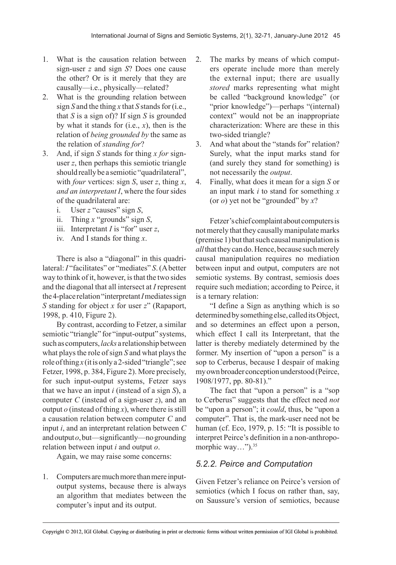- 1. What is the causation relation between sign-user *z* and sign *S*? Does one cause the other? Or is it merely that they are causally—i.e., physically—related?
- 2. What is the grounding relation between sign *S* and the thing *x* that *S* stands for (i.e., that *S* is a sign of)? If sign *S* is grounded by what it stands for (i.e., *x*), then is the relation of *being grounded by* the same as the relation of *standing for*?
- 3. And, if sign *S* stands for thing *x for* signuser *z*, then perhaps this semiotic triangle should really be a semiotic "quadrilateral", with *four* vertices: sign *S*, user *z*, thing *x*, *and an interpretant I*, where the four sides of the quadrilateral are:
	- i. User *z* "causes" sign *S*,
	- ii. Thing *x* "grounds" sign *S*,
	- iii. Interpretant *I* is "for" user *z*,
	- iv. And I stands for thing *x*.

There is also a "diagonal" in this quadrilateral: *I* "facilitates" or "mediates" *S*. (A better way to think of it, however, is that the two sides and the diagonal that all intersect at *I* represent the 4-place relation "interpretant *I* mediates sign *S* standing for object *x* for user *z*" (Rapaport, 1998, p. 410, Figure 2).

By contrast, according to Fetzer, a similar semiotic "triangle" for "input-output" systems, such as computers, *lacks* a relationship between what plays the role of sign *S* and what plays the role of thing  $x$  (it is only a 2-sided "triangle"; see Fetzer, 1998, p. 384, Figure 2). More precisely, for such input-output systems, Fetzer says that we have an input *i* (instead of a sign *S*), a computer *C* (instead of a sign-user *z*), and an output  $o$  (instead of thing  $x$ ), where there is still a causation relation between computer *C* and input *i*, and an interpretant relation between *C* and output *o*, but—significantly—no grounding relation between input *i* and output *o*.

Again, we may raise some concerns:

1. Computers are much more than mere inputoutput systems, because there is always an algorithm that mediates between the computer's input and its output.

- 2. The marks by means of which computers operate include more than merely the external input; there are usually *stored* marks representing what might be called "background knowledge" (or "prior knowledge")—perhaps "(internal) context" would not be an inappropriate characterization: Where are these in this two-sided triangle?
- 3. And what about the "stands for" relation? Surely, what the input marks stand for (and surely they stand for something) is not necessarily the *output*.
- 4. Finally, what does it mean for a sign *S* or an input mark *i* to stand for something *x* (or *o*) yet not be "grounded" by *x*?

Fetzer's chief complaint about computers is not merely that they causally manipulate marks (premise 1) but that such causal manipulation is *all* that they can do. Hence, because such merely causal manipulation requires no mediation between input and output, computers are not semiotic systems. By contrast, semiosis does require such mediation; according to Peirce, it is a ternary relation:

"I define a Sign as anything which is so determined by something else, called its Object, and so determines an effect upon a person, which effect I call its Interpretant, that the latter is thereby mediately determined by the former. My insertion of "upon a person" is a sop to Cerberus, because I despair of making my own broader conception understood (Peirce, 1908/1977, pp. 80-81)."

The fact that "upon a person" is a "sop to Cerberus" suggests that the effect need *not* be "upon a person"; it *could*, thus, be "upon a computer". That is, the mark-user need not be human (cf. Eco, 1979, p. 15: "It is possible to interpret Peirce's definition in a non-anthropomorphic way...").<sup>35</sup>

## *5.2.2. Peirce and Computation*

Given Fetzer's reliance on Peirce's version of semiotics (which I focus on rather than, say, on Saussure's version of semiotics, because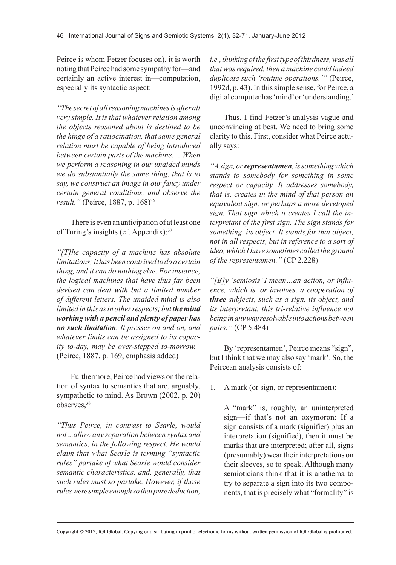Peirce is whom Fetzer focuses on), it is worth noting that Peirce had some sympathy for—and certainly an active interest in—computation, especially its syntactic aspect:

*"The secretofallreasoningmachinesisafterall very simple. It is that whatever relation among the objects reasoned about is destined to be the hinge of a ratiocination, that same general relation must be capable of being introduced between certain parts of the machine. …When we perform a reasoning in our unaided minds we do substantially the same thing, that is to say, we construct an image in our fancy under certain general conditions, and observe the result.*" (Peirce, 1887, p. 168)<sup>36</sup>

There is even an anticipation of at least one of Turing's insights (cf. Appendix):37

*"[T]he capacity of a machine has absolute limitations;ithasbeencontrived todoacertain thing, and it can do nothing else. Forinstance, the logical machines that have thus far been devised can deal with but a limited number of different letters. The unaided mind is also limited in this asin otherrespects; but the mind working with a pencil and plenty of paper has no such limitation. It presses on and on, and whatever limits can be assigned to its capacity to-day, may be over-stepped to-morrow."* (Peirce, 1887, p. 169, emphasis added)

Furthermore, Peirce had views on the relation of syntax to semantics that are, arguably, sympathetic to mind. As Brown (2002, p. 20) observes.<sup>38</sup>

*"Thus Peirce, in contrast to Searle, would not…allow any separation between syntax and semantics, in the following respect. He would claim that what Searle is terming "syntactic rules" partake of what Searle would consider semantic characteristics, and, generally, that such rules must so partake. However, if those rulesweresimpleenoughsothatpurededuction,*

*i.e.,thinkingofthe firsttypeofthirdness,wasall thatwasrequired, then a machine could indeed duplicate such 'routine operations.'"* (Peirce, 1992d, p. 43). In this simple sense, for Peirce, a digital computer has 'mind' or 'understanding.'

Thus, I find Fetzer's analysis vague and unconvincing at best. We need to bring some clarity to this. First, consider what Peirce actually says:

*"Asign, orrepresentamen,issomethingwhich stands to somebody for something in some respect or capacity. It addresses somebody, that is, creates in the mind of that person an equivalent sign, or perhaps a more developed sign. That sign which it creates I call the interpretant of the first sign. The sign stands for something, its object. It stands for that object, not in all respects, but in reference to a sort of idea,which I have sometimes called the ground of the representamen."* (CP 2.228)

*"[B]y 'semiosis' I mean…an action, or influence, which is, or involves, a cooperation of three subjects, such as a sign, its object, and its interpretant, this tri-relative influence not beinginanywayresolvableintoactionsbetween pairs."* (CP 5.484)

By 'representamen', Peirce means "sign", but I think that we may also say 'mark'. So, the Peircean analysis consists of:

1. A mark (or sign, or representamen):

A "mark" is, roughly, an uninterpreted sign—if that's not an oxymoron: If a sign consists of a mark (signifier) plus an interpretation (signified), then it must be marks that are interpreted; after all, signs (presumably) wear their interpretations on their sleeves, so to speak. Although many semioticians think that it is anathema to try to separate a sign into its two components, that is precisely what "formality" is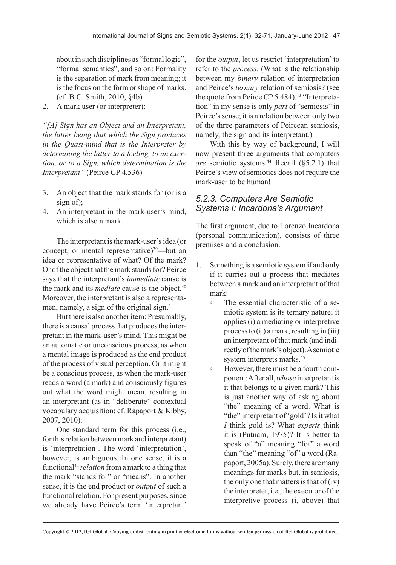about in such disciplines as "formal logic", "formal semantics", and so on: Formality is the separation of mark from meaning; it is the focus on the form or shape of marks. (cf. B.C. Smith, 2010, §4b)

2. A mark user (or interpreter):

*"[A] Sign has an Object and an Interpretant, the latter being that which the Sign produces in the Quasi-mind that is the Interpreter by determining the latter to a feeling, to an exertion, or to a Sign, which determination is the Interpretant"* (Peirce CP 4.536)

- 3. An object that the mark stands for (or is a sign of);
- 4. An interpretant in the mark-user's mind, which is also a mark.

The interpretant is the mark-user's idea (or concept, or mental representative) $39$ —but an idea or representative of what? Of the mark? Or of the object that the mark stands for? Peirce says that the interpretant's *immediate* cause is the mark and its *mediate* cause is the object.<sup>40</sup> Moreover, the interpretant is also a representamen, namely, a sign of the original sign.<sup>41</sup>

But there is also another item: Presumably, there is a causal process that produces the interpretant in the mark-user's mind. This might be an automatic or unconscious process, as when a mental image is produced as the end product of the process of visual perception. Or it might be a conscious process, as when the mark-user reads a word (a mark) and consciously figures out what the word might mean, resulting in an interpretant (as in "deliberate" contextual vocabulary acquisition; cf. Rapaport & Kibby, 2007, 2010).

One standard term for this process (i.e., for this relation between mark and interpretant) is 'interpretation'. The word 'interpretation', however, is ambiguous. In one sense, it is a functional42 *relation* from a mark to a thing that the mark "stands for" or "means". In another sense, it is the end product or *output* of such a functional relation. For present purposes, since we already have Peirce's term 'interpretant'

for the *output*, let us restrict 'interpretation' to refer to the *process*. (What is the relationship between my *binary* relation of interpretation and Peirce's *ternary* relation of semiosis? (see the quote from Peirce CP 5.484).<sup>43</sup> "Interpretation" in my sense is only *part* of "semiosis" in Peirce's sense; it is a relation between only two of the three parameters of Peircean semiosis, namely, the sign and its interpretant.)

With this by way of background, I will now present three arguments that computers *are* semiotic systems.<sup>44</sup> Recall (§5.2.1) that Peirce's view of semiotics does not require the mark-user to be human!

#### *5.2.3. Computers Are Semiotic Systems I: Incardona's Argument*

The first argument, due to Lorenzo Incardona (personal communication), consists of three premises and a conclusion.

- 1. Something is a semiotic system if and only if it carries out a process that mediates between a mark and an interpretant of that mark:
	- The essential characteristic of a semiotic system is its ternary nature; it applies (i) a mediating or interpretive process to (ii) a mark, resulting in (iii) an interpretant of that mark (and indirectly of the mark's object). A semiotic system interprets marks.<sup>45</sup>
	- However, there must be a fourth component: After all, *whose* interpretant is it that belongs to a given mark? This is just another way of asking about "the" meaning of a word. What is "the" interpretant of 'gold'? Is it what *I* think gold is? What *experts* think it is (Putnam, 1975)? It is better to speak of "a" meaning "for" a word than "the" meaning "of" a word (Rapaport, 2005a). Surely, there are many meanings for marks but, in semiosis, the only one that matters is that of (iv) the interpreter, i.e., the executor of the interpretive process (i, above) that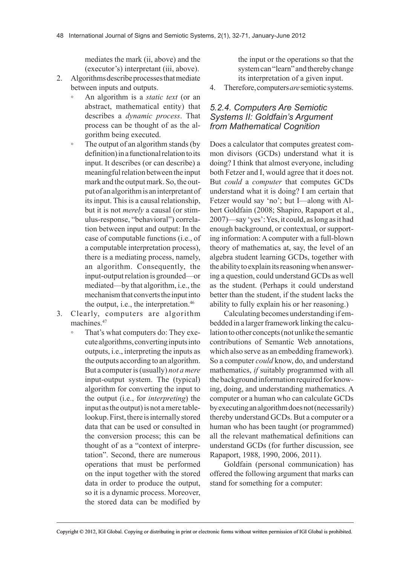mediates the mark (ii, above) and the (executor's) interpretant (iii, above).

- 2. Algorithms describe processes that mediate between inputs and outputs.
	- An algorithm is a *static text* (or an abstract, mathematical entity) that describes a *dynamic process*. That process can be thought of as the algorithm being executed.
	- The output of an algorithm stands (by definition) in a functional relation to its input. It describes (or can describe) a meaningful relation between the input mark and the output mark. So, the output of an algorithm is an interpretant of its input. This is a causal relationship, but it is not *merely* a causal (or stimulus-response, "behavioral") correlation between input and output: In the case of computable functions (i.e., of a computable interpretation process), there is a mediating process, namely, an algorithm. Consequently, the input-output relation is grounded—or mediated—by that algorithm, i.e., the mechanism that converts the input into the output, i.e., the interpretation.<sup>46</sup>
- 3. Clearly, computers are algorithm machines<sup>47</sup>
	- That's what computers do: They execute algorithms, converting inputs into outputs, i.e., interpreting the inputs as the outputs according to an algorithm. But a computer is (usually) *not a mere* input-output system. The (typical) algorithm for converting the input to the output (i.e., for *interpreting*) the input as the output) is not a mere tablelookup. First, there is internally stored data that can be used or consulted in the conversion process; this can be thought of as a "context of interpretation". Second, there are numerous operations that must be performed on the input together with the stored data in order to produce the output, so it is a dynamic process. Moreover, the stored data can be modified by

the input or the operations so that the system can "learn" and thereby change its interpretation of a given input.

4. Therefore, computers *are* semiotic systems.

#### *5.2.4. Computers Are Semiotic Systems II: Goldfain's Argument from Mathematical Cognition*

Does a calculator that computes greatest common divisors (GCDs) understand what it is doing? I think that almost everyone, including both Fetzer and I, would agree that it does not. But *could* a *computer* that computes GCDs understand what it is doing? I am certain that Fetzer would say 'no'; but I—along with Albert Goldfain (2008; Shapiro, Rapaport et al., 2007)—say 'yes': Yes, it could, as long as it had enough background, or contextual, or supporting information: A computer with a full-blown theory of mathematics at, say, the level of an algebra student learning GCDs, together with the ability to explain its reasoning when answering a question, could understand GCDs as well as the student. (Perhaps it could understand better than the student, if the student lacks the ability to fully explain his or her reasoning.)

Calculating becomes understanding if embedded in a larger framework linking the calculation to other concepts (not unlike the semantic contributions of Semantic Web annotations, which also serve as an embedding framework). So a computer *could* know, do, and understand mathematics, *if* suitably programmed with all the background information required for knowing, doing, and understanding mathematics. A computer or a human who can calculate GCDs by executing an algorithm does not (necessarily) thereby understand GCDs. But a computer or a human who has been taught (or programmed) all the relevant mathematical definitions can understand GCDs (for further discussion, see Rapaport, 1988, 1990, 2006, 2011).

Goldfain (personal communication) has offered the following argument that marks can stand for something for a computer: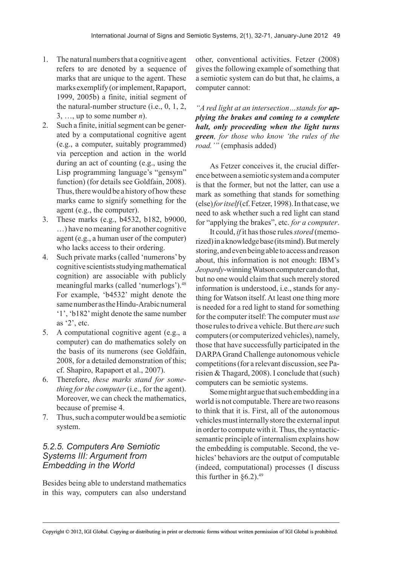- 1. The natural numbers that a cognitive agent refers to are denoted by a sequence of marks that are unique to the agent. These marks exemplify (or implement, Rapaport, 1999, 2005b) a finite, initial segment of the natural-number structure (i.e., 0, 1, 2, 3, ..., up to some number  $n$ ).
- 2. Such a finite, initial segment can be generated by a computational cognitive agent (e.g., a computer, suitably programmed) via perception and action in the world during an act of counting (e.g., using the Lisp programming language's "gensym" function) (for details see Goldfain, 2008). Thus, there would be a history of how these marks came to signify something for the agent (e.g., the computer).
- 3. These marks (e.g., b4532, b182, b9000, …) have no meaning for another cognitive agent (e.g., a human user of the computer) who lacks access to their ordering.
- 4. Such private marks (called 'numerons' by cognitive scientists studying mathematical cognition) are associable with publicly meaningful marks (called 'numerlogs').48 For example, 'b4532' might denote the same number as the Hindu-Arabic numeral '1', 'b182' might denote the same number as '2', etc.
- 5. A computational cognitive agent (e.g., a computer) can do mathematics solely on the basis of its numerons (see Goldfain, 2008, for a detailed demonstration of this; cf. Shapiro, Rapaport et al., 2007).
- 6. Therefore, *these marks stand for something for the computer* (i.e., for the agent). Moreover, we can check the mathematics, because of premise 4.
- 7. Thus, such a computer would be a semiotic system.

#### *5.2.5. Computers Are Semiotic Systems III: Argument from Embedding in the World*

Besides being able to understand mathematics in this way, computers can also understand other, conventional activities. Fetzer (2008) gives the following example of something that a semiotic system can do but that, he claims, a computer cannot:

*"A red light at an intersection…stands for applying the brakes and coming to a complete halt, only proceeding when the light turns green, for those who know 'the rules of the road.'"* (emphasis added)

As Fetzer conceives it, the crucial difference between a semiotic system and a computer is that the former, but not the latter, can use a mark as something that stands for something (else) *foritself* (cf. Fetzer, 1998). In that case, we need to ask whether such a red light can stand for "applying the brakes", etc. *for a computer*.

It could, *if* it has those rules *stored* (memorized) in a knowledge base (its mind). But merely storing, and even being able to access and reason about, this information is not enough: IBM's *Jeopardy*-winning Watson computer can do that, but no one would claim that such merely stored information is understood, i.e., stands for anything for Watson itself. At least one thing more is needed for a red light to stand for something for the computer itself: The computer must *use* those rules to drive a vehicle. But there *are* such computers (or computerized vehicles), namely, those that have successfully participated in the DARPA Grand Challenge autonomous vehicle competitions (for a relevant discussion, see Parisien & Thagard, 2008). I conclude that (such) computers can be semiotic systems.

Some might argue that such embedding in a world is not computable. There are two reasons to think that it is. First, all of the autonomous vehicles must internally store the external input in order to compute with it. Thus, the syntacticsemantic principle of internalism explains how the embedding is computable. Second, the vehicles' behaviors are the output of computable (indeed, computational) processes (I discuss this further in  $\S 6.2$ ).<sup>49</sup>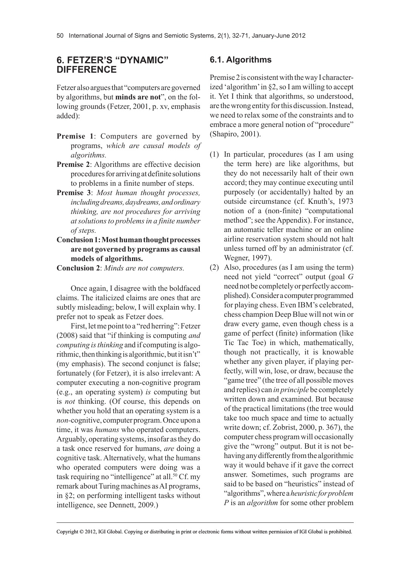## **6. FETZER'S "DYNAMIC" DIFFERENCE**

Fetzer also argues that "computers are governed by algorithms, but **minds are not**", on the following grounds (Fetzer, 2001, p. xv, emphasis added):

- **Premise 1**: Computers are governed by programs, *which are causal models of algorithms.*
- **Premise 2**: Algorithms are effective decision procedures for arriving at definite solutions to problems in a finite number of steps.
- **Premise 3**: *Most human thought processes, includingdreams,daydreams,andordinary thinking, are not procedures for arriving atsolutionsto problemsin a finite number of steps.*
- **Conclusion 1: Most human thought processes are not governed by programs as causal models of algorithms.**

**Conclusion 2**: *Minds are not computers.*

Once again, I disagree with the boldfaced claims. The italicized claims are ones that are subtly misleading; below, I will explain why. I prefer not to speak as Fetzer does.

First, let me point to a "red herring": Fetzer (2008) said that "if thinking is computing *and computing isthinking* and if computing is algorithmic, then thinking is algorithmic, but it isn't" (my emphasis). The second conjunct is false; fortunately (for Fetzer), it is also irrelevant: A computer executing a non-cognitive program (e.g., an operating system) *is* computing but is *not* thinking. (Of course, this depends on whether you hold that an operating system is a *non-*cognitive, computer program. Once upon a time, it was *humans* who operated computers. Arguably, operating systems, insofar as they do a task once reserved for humans, *are* doing a cognitive task. Alternatively, what the humans who operated computers were doing was a task requiring no "intelligence" at all.<sup>50</sup> Cf. my remark about Turing machines as AI programs, in §2; on performing intelligent tasks without intelligence, see Dennett, 2009.)

## **6.1. Algorithms**

Premise 2 is consistent with the way I characterized 'algorithm' in §2, so I am willing to accept it. Yet I think that algorithms, so understood, are the wrong entity for this discussion. Instead, we need to relax some of the constraints and to embrace a more general notion of "procedure" (Shapiro, 2001).

- (1) In particular, procedures (as I am using the term here) are like algorithms, but they do not necessarily halt of their own accord; they may continue executing until purposely (or accidentally) halted by an outside circumstance (cf. Knuth's, 1973 notion of a (non-finite) "computational method"; see the Appendix). For instance, an automatic teller machine or an online airline reservation system should not halt unless turned off by an administrator (cf. Wegner, 1997).
- (2) Also, procedures (as I am using the term) need not yield "correct" output (goal *G* need not be completely or perfectly accomplished). Consider a computer programmed for playing chess. Even IBM's celebrated, chess champion Deep Blue will not win or draw every game, even though chess is a game of perfect (finite) information (like Tic Tac Toe) in which, mathematically, though not practically, it is knowable whether any given player, if playing perfectly, will win, lose, or draw, because the "game tree" (the tree of all possible moves and replies) can *in principle* be completely written down and examined. But because of the practical limitations (the tree would take too much space and time to actually write down; cf. Zobrist, 2000, p. 367), the computer chess program will occasionally give the "wrong" output. But it is not behaving any differently from the algorithmic way it would behave if it gave the correct answer. Sometimes, such programs are said to be based on "heuristics" instead of "algorithms", where a *heuristicforproblem P* is an *algorithm* for some other problem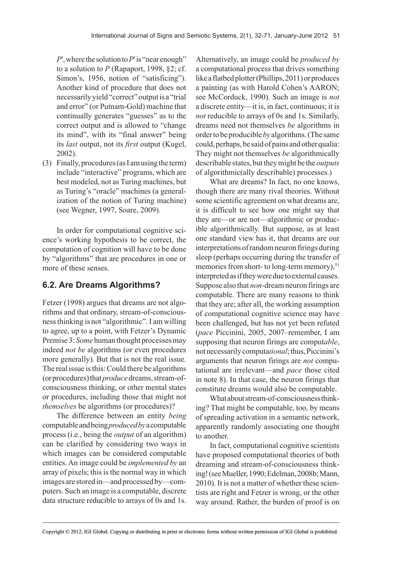$P'$ , where the solution to  $P'$  is "near enough" to a solution to *P* (Rapaport, 1998, §2; cf. Simon's, 1956, notion of "satisficing"). Another kind of procedure that does not necessarily yield "correct" output is a "trial and error" (or Putnam-Gold) machine that continually generates "guesses" as to the correct output and is allowed to "change its mind", with its "final answer" being its *last* output, not its *first* output (Kugel, 2002).

(3) Finally, procedures (as I am using the term) include "interactive" programs, which are best modeled, not as Turing machines, but as Turing's "oracle" machines (a generalization of the notion of Turing machine) (see Wegner, 1997, Soare, 2009).

In order for computational cognitive science's working hypothesis to be correct, the computation of cognition will have to be done by "algorithms" that are procedures in one or more of these senses.

## **6.2. Are Dreams Algorithms?**

Fetzer (1998) argues that dreams are not algorithms and that ordinary, stream-of-consciousness thinking is not "algorithmic". I am willing to agree, up to a point, with Fetzer's Dynamic Premise 3: *Some* human thought processes may indeed *not be* algorithms (or even procedures more generally). But that is not the real issue. The real issue is this: Could there be algorithms (or procedures) that *produce* dreams, stream-ofconsciousness thinking, or other mental states or procedures, including those that might not *themselves* be algorithms (or procedures)?

The difference between an entity *being* computable and being *producedby* a computable process (i.e., being the *output* of an algorithm) can be clarified by considering two ways in which images can be considered computable entities. An image could be *implemented by* an array of pixels; this is the normal way in which images are stored in—and processed by—computers. Such an image is a computable, discrete data structure reducible to arrays of 0s and 1s.

Alternatively, an image could be *produced by* a computational process that drives something like a flatbed plotter (Phillips, 2011) or produces a painting (as with Harold Cohen's AARON; see McCorduck, 1990). Such an image is *not* a discrete entity—it is, in fact, continuous; it is *not* reducible to arrays of 0s and 1s. Similarly, dreams need not themselves *be* algorithms in order to be producible *by* algorithms. (The same could, perhaps, be said of pains and other qualia: They might not themselves *be* algorithmically describable states, but they might be the *outputs* of algorithmic(ally describable) processes.)

What are dreams? In fact, no one knows, though there are many rival theories. Without some scientific agreement on what dreams are, it is difficult to see how one might say that they are—or are not—algorithmic or producible algorithmically. But suppose, as at least one standard view has it, that dreams are our interpretations of random neuron firings during sleep (perhaps occurring during the transfer of memories from short- to long-term memory), $51$ interpreted as if they were due to external causes. Suppose also that *non*-dream neuron firings are computable. There are many reasons to think that they are; after all, the working assumption of computational cognitive science may have been challenged, but has not yet been refuted (*pace* Piccinini, 2005, 2007–remember, I am supposing that neuron firings are comput*able*, not necessarily computa*tional*; thus, Piccinini's arguments that neuron firings are *not* computational are irrelevant—and *pace* those cited in note 8). In that case, the neuron firings that constitute dreams would also be computable.

What about stream-of-consciousness thinking? That might be computable, too, by means of spreading activation in a semantic network, apparently randomly associating one thought to another.

In fact, computational cognitive scientists have proposed computational theories of both dreaming and stream-of-consciousness thinking! (see Mueller, 1990; Edelman, 2008b; Mann, 2010). It is not a matter of whether these scientists are right and Fetzer is wrong, or the other way around. Rather, the burden of proof is on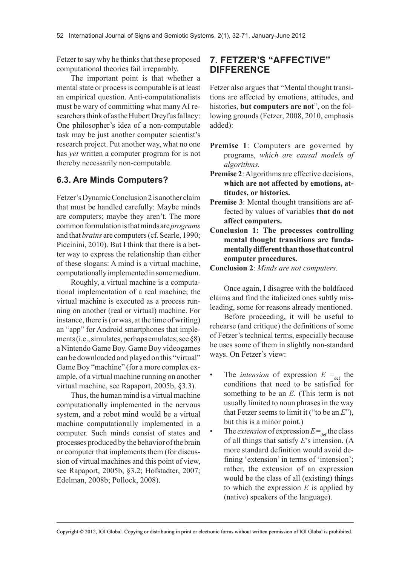Fetzer to say why he thinks that these proposed computational theories fail irreparably.

The important point is that whether a mental state or process is computable is at least an empirical question. Anti-computationalists must be wary of committing what many AI researchers think of as the Hubert Dreyfus fallacy: One philosopher's idea of a non-computable task may be just another computer scientist's research project. Put another way, what no one has *yet* written a computer program for is not thereby necessarily non-computable.

## **6.3. Are Minds Computers?**

Fetzer's Dynamic Conclusion 2 is another claim that must be handled carefully: Maybe minds are computers; maybe they aren't. The more common formulation is that minds are *programs* and that *brains* are computers (cf. Searle, 1990; Piccinini, 2010). But I think that there is a better way to express the relationship than either of these slogans: A mind is a virtual machine, computationally implemented in some medium.

Roughly, a virtual machine is a computational implementation of a real machine; the virtual machine is executed as a process running on another (real or virtual) machine. For instance, there is (or was, at the time of writing) an "app" for Android smartphones that implements (i.e., simulates, perhaps emulates; see §8) a Nintendo Game Boy. Game Boy videogames can be downloaded and played on this "virtual" Game Boy "machine" (for a more complex example, of a virtual machine running on another virtual machine, see Rapaport, 2005b, §3.3).

Thus, the human mind is a virtual machine computationally implemented in the nervous system, and a robot mind would be a virtual machine computationally implemented in a computer. Such minds consist of states and processes produced by the behavior of the brain or computer that implements them (for discussion of virtual machines and this point of view, see Rapaport, 2005b, §3.2; Hofstadter, 2007; Edelman, 2008b; Pollock, 2008).

## **7. FETZER'S "AFFECTIVE" DIFFERENCE**

Fetzer also argues that "Mental thought transitions are affected by emotions, attitudes, and histories, **but computers are not**", on the following grounds (Fetzer, 2008, 2010, emphasis added):

- **Premise 1**: Computers are governed by programs, *which are causal models of algorithms.*
- **Premise 2**: Algorithms are effective decisions, **which are not affected by emotions, attitudes, or histories.**
- **Premise 3**: Mental thought transitions are affected by values of variables **that do not affect computers.**
- **Conclusion 1: The processes controlling mental thought transitions are fundamentally different than those that control computer procedures.**
- **Conclusion 2**: *Minds are not computers.*

Once again, I disagree with the boldfaced claims and find the italicized ones subtly misleading, some for reasons already mentioned.

Before proceeding, it will be useful to rehearse (and critique) the definitions of some of Fetzer's technical terms, especially because he uses some of them in slightly non-standard ways. On Fetzer's view:

- The *intension* of expression  $E = \int_{def}$  the conditions that need to be satisfied for something to be an *E.* (This term is not usually limited to noun phrases in the way that Fetzer seems to limit it ("to be an *E*"), but this is a minor point.)
- The *extension* of expression  $E = d$  the class of all things that satisfy *E*'s intension. (A more standard definition would avoid defining 'extension' in terms of 'intension'; rather, the extension of an expression would be the class of all (existing) things to which the expression  $E$  is applied by (native) speakers of the language).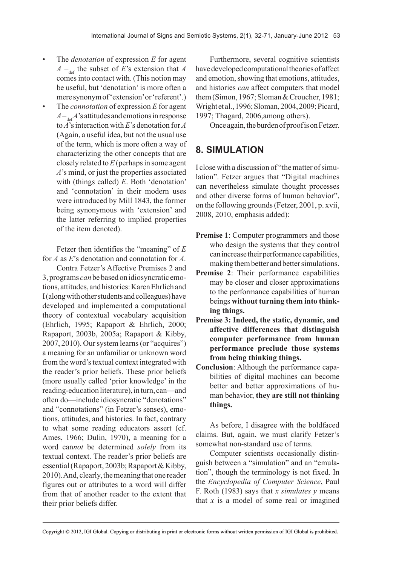- The *denotation* of expression *E* for agent  $A = \frac{d}{dt}$  the subset of *E*'s extension that *A* comes into contact with. (This notion may be useful, but 'denotation' is more often a mere synonym of 'extension' or 'referent'.)
- The *connotation* of expression *E* for agent  $A = \frac{A}{\det A}$ 's attitudes and emotions in response to *A*'s interaction with *E*'s denotation for *A* (Again, a useful idea, but not the usual use of the term, which is more often a way of characterizing the other concepts that are closely related to *E* (perhaps in some agent *A*'s mind, or just the properties associated with (things called) *E*. Both 'denotation' and 'connotation' in their modern uses were introduced by Mill 1843, the former being synonymous with 'extension' and the latter referring to implied properties of the item denoted).

Fetzer then identifies the "meaning" of *E* for *A* as *E*'s denotation and connotation for *A.*

Contra Fetzer's Affective Premises 2 and 3, programs *can* be based on idiosyncratic emotions, attitudes, and histories: Karen Ehrlich and I (along with other students and colleagues) have developed and implemented a computational theory of contextual vocabulary acquisition (Ehrlich, 1995; Rapaport & Ehrlich, 2000; Rapaport, 2003b, 2005a; Rapaport & Kibby, 2007, 2010). Our system learns (or "acquires") a meaning for an unfamiliar or unknown word from the word's textual context integrated with the reader's prior beliefs. These prior beliefs (more usually called 'prior knowledge' in the reading-education literature), in turn, can—and often do—include idiosyncratic "denotations" and "connotations" (in Fetzer's senses), emotions, attitudes, and histories. In fact, contrary to what some reading educators assert (cf. Ames, 1966; Dulin, 1970), a meaning for a word can*not* be determined *solely* from its textual context. The reader's prior beliefs are essential (Rapaport, 2003b; Rapaport & Kibby, 2010). And, clearly, the meaning that one reader figures out or attributes to a word will differ from that of another reader to the extent that their prior beliefs differ.

Furthermore, several cognitive scientists have developed computational theories of affect and emotion, showing that emotions, attitudes, and histories *can* affect computers that model them (Simon, 1967; Sloman & Croucher, 1981; Wright et al., 1996; Sloman, 2004, 2009; Picard, 1997; Thagard, 2006,among others).

Once again, the burden of proof is on Fetzer.

# **8. SIMULATION**

I close with a discussion of "the matter of simulation". Fetzer argues that "Digital machines can nevertheless simulate thought processes and other diverse forms of human behavior", on the following grounds (Fetzer, 2001, p. xvii, 2008, 2010, emphasis added):

- **Premise 1**: Computer programmers and those who design the systems that they control can increase their performance capabilities, making them better and better simulations.
- **Premise 2**: Their performance capabilities may be closer and closer approximations to the performance capabilities of human beings **without turning them into thinking things.**
- **Premise 3: Indeed, the static, dynamic, and affective differences that distinguish computer performance from human performance preclude those systems from being thinking things.**
- **Conclusion**: Although the performance capabilities of digital machines can become better and better approximations of human behavior, **they are still not thinking things.**

As before, I disagree with the boldfaced claims. But, again, we must clarify Fetzer's somewhat non-standard use of terms.

Computer scientists occasionally distinguish between a "simulation" and an "emulation", though the terminology is not fixed. In the *Encyclopedia of Computer Science*, Paul F. Roth (1983) says that *x simulates y* means that *x* is a model of some real or imagined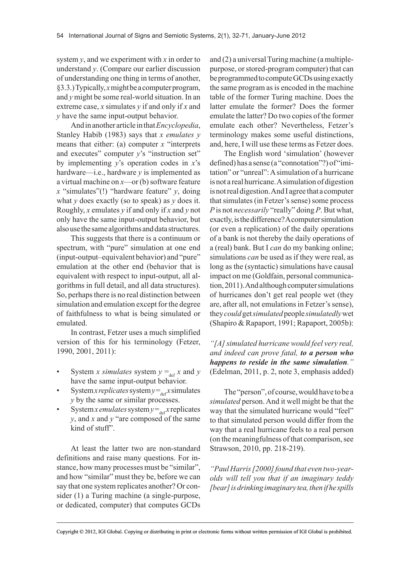system *y*, and we experiment with *x* in order to understand *y*. (Compare our earlier discussion of understanding one thing in terms of another, §3.3.) Typically, *x* might be a computer program, and *y* might be some real-world situation. In an extreme case, *x* simulates *y* if and only if *x* and *y* have the same input-output behavior.

And in another article in that *Encyclopedia*, Stanley Habib (1983) says that *x emulates y* means that either: (a) computer *x* "interprets and executes" computer *y*'s "instruction set" by implementing *y*'s operation codes in *x*'s hardware—i.e., hardware *y* is implemented as a virtual machine on *x*—or (b) software feature *x* "simulates"(!) "hardware feature" *y*, doing what *y* does exactly (so to speak) as *y* does it. Roughly, *x* emulates *y* if and only if *x* and *y* not only have the same input-output behavior, but also use the same algorithms and data structures.

This suggests that there is a continuum or spectrum, with "pure" simulation at one end (input-output–equivalent behavior) and "pure" emulation at the other end (behavior that is equivalent with respect to input-output, all algorithms in full detail, and all data structures). So, perhaps there is no real distinction between simulation and emulation except for the degree of faithfulness to what is being simulated or emulated.

In contrast, Fetzer uses a much simplified version of this for his terminology (Fetzer, 1990, 2001, 2011):

- System *x simulates* system  $y = \int_{def} x$  and *y* have the same input-output behavior.
- System *x* replicates system  $y = e^{x}$  simulates *y* by the same or similar processes.
- System *x* emulates system  $y = e^{ax}$  replicates *y*, and *x* and *y* "are composed of the same kind of stuff".

At least the latter two are non-standard definitions and raise many questions. For instance, how many processes must be "similar", and how "similar" must they be, before we can say that one system replicates another? Or consider (1) a Turing machine (a single-purpose, or dedicated, computer) that computes GCDs and (2) a universal Turing machine (a multiplepurpose, or stored-program computer) that can be programmed to compute GCDs using exactly the same program as is encoded in the machine table of the former Turing machine. Does the latter emulate the former? Does the former emulate the latter? Do two copies of the former emulate each other? Nevertheless, Fetzer's terminology makes some useful distinctions, and, here, I will use these terms as Fetzer does.

The English word 'simulation' (however defined) has a sense (a "connotation"?) of "imitation" or "unreal": A simulation of a hurricane is not a real hurricane. A simulation of digestion is not real digestion. And I agree that a computer that simulates (in Fetzer's sense) some process *P* is not *necessarily* "really" doing *P*. But what, exactly, is the difference? A computer simulation (or even a replication) of the daily operations of a bank is not thereby the daily operations of a (real) bank. But I *can* do my banking online; simulations *can* be used as if they were real, as long as the (syntactic) simulations have causal impact on me (Goldfain, personal communication, 2011). And although computer simulations of hurricanes don't get real people wet (they are, after all, not emulations in Fetzer's sense), they *could* get *simulated* people *simulatedly* wet (Shapiro & Rapaport, 1991; Rapaport, 2005b):

*"[A]simulated hurricane would feel very real, and indeed can prove fatal, to a person who happens to reside in the same simulation."* (Edelman, 2011, p. 2, note 3, emphasis added)

The "person", of course, would have to be a *simulated* person. And it well might be that the way that the simulated hurricane would "feel" to that simulated person would differ from the way that a real hurricane feels to a real person (on the meaningfulness of that comparison, see Strawson, 2010, pp. 218-219).

*"Paul Harris[2000]found that even two-yearolds will tell you that if an imaginary teddy [bear]isdrinkingimaginary tea,thenifhe spills*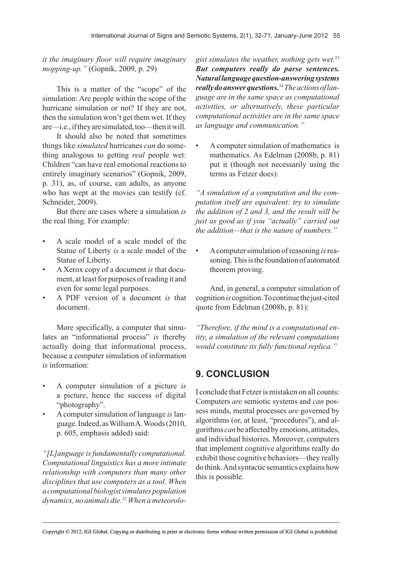*it the imaginary floor will require imaginary mopping-up."* (Gopnik, 2009, p. 29)

This is a matter of the "scope" of the simulation: Are people within the scope of the hurricane simulation or not? If they are not, then the simulation won't get them wet. If they are—i.e., if they are simulated, too—then it will.

It should also be noted that sometimes things like *simulated* hurricanes *can* do something analogous to getting *real* people wet: Children "can have real emotional reactions to entirely imaginary scenarios" (Gopnik, 2009, p. 31), as, of course, can adults, as anyone who has wept at the movies can testify (cf. Schneider, 2009).

But there are cases where a simulation *is* the real thing. For example:

- A scale model of a scale model of the Statue of Liberty *is* a scale model of the Statue of Liberty.
- A Xerox copy of a document *is* that document, at least for purposes of reading it and even for some legal purposes.
- A PDF version of a document *is* that document.

More specifically, a computer that simulates an "informational process" *is* thereby actually doing that informational process, because a computer simulation of information *is* information:

- A computer simulation of a picture *is* a picture, hence the success of digital "photography".
- A computer simulation of language *is* language. Indeed, as William A. Woods (2010, p. 605, emphasis added) said:

*"[L]anguage isfundamentally computational. Computational linguistics has a more intimate relationship with computers than many other disciplines that use computers as a tool. When acomputationalbiologistsimulatespopulation dynamics, no animals die.52 When a meteorolo-* *gist simulates the weather, nothing gets wet.53 But computers really do parse sentences. Natural language question-answering systems really do answer questions.54Theactionsoflanguage are in the same space as computational activities, or alternatively, these particular computational activities are in the same space as language and communication."*

• A computer simulation of mathematics is mathematics. As Edelman (2008b, p. 81) put it (though not necessarily using the terms as Fetzer does):

*"A simulation of a computation and the computation itself are equivalent: try to simulate the addition of 2 and 3, and the result will be just as good as if you "actually" carried out the addition—that is the nature of numbers."*

• A computer simulation of reasoning *is* reasoning. This is the foundation of automated theorem proving.

And, in general, a computer simulation of cognition *is* cognition. To continue the just-cited quote from Edelman (2008b, p. 81):

*"Therefore, if the mind is a computational entity, a simulation of the relevant computations would constitute its fully functional replica."*

## **9. CONCLUSION**

I conclude that Fetzer is mistaken on all counts: Computers *are* semiotic systems and *can* possess minds, mental processes *are* governed by algorithms (or, at least, "procedures"), and algorithms *can* be affected by emotions, attitudes, and individual histories. Moreover, computers that implement cognitive algorithms really do exhibit those cognitive behaviors—they really do think. And syntactic semantics explains how this is possible.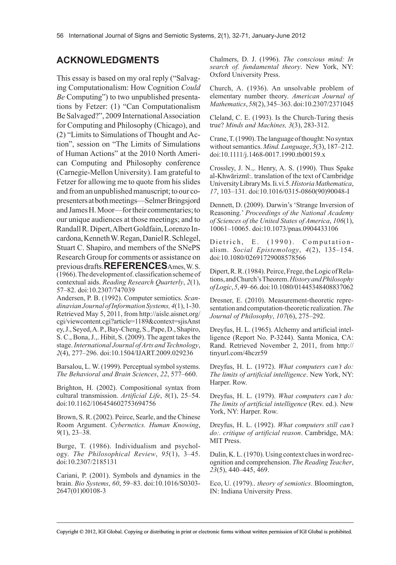## **ACKNOWLEDGMENTS**

This essay is based on my oral reply ("Salvaging Computationalism: How Cognition *Could Be* Computing") to two unpublished presentations by Fetzer: (1) "Can Computationalism Be Salvaged?", 2009 International Association for Computing and Philosophy (Chicago), and (2) "Limits to Simulations of Thought and Action", session on "The Limits of Simulations of Human Actions" at the 2010 North American Computing and Philosophy conference (Carnegie-Mellon University). I am grateful to Fetzer for allowing me to quote from his slides and from an unpublished manuscript; to our copresenters at both meetings—Selmer Bringsjord and James H. Moor—for their commentaries; to our unique audiences at those meetings; and to Randall R. Dipert, Albert Goldfain, Lorenzo Incardona, Kenneth W. Regan, Daniel R. Schlegel, Stuart C. Shapiro, and members of the SNePS Research Group for comments or assistance on previous drafts.**REFERENCES**Ames, W. S. (1966). The development of. classification scheme of contextual aids. *Reading Research Quarterly*, *2*(1), 57–82. doi:10.2307/747039

Andersen, P. B. (1992). Computer semiotics. *ScandinavianJournalofInformationSystems, 4*(1), 1-30. Retrieved May 5, 2011, from http://aisle.aisnet.org/ cgi/viewcontent.cgi?article=1189&context=sjisAnst ey, J., Seyed, A. P., Bay-Cheng, S., Pape, D., Shapiro, S. C., Bona, J.,. Hibit, S. (2009). The agent takes the stage. *International Journal ofArts and Technology*, *2*(4), 277–296. doi:10.1504/IJART.2009.029236

Barsalou, L. W. (1999). Perceptual symbol systems. *The Behavioral and Brain Sciences*, *22*, 577–660.

Brighton, H. (2002). Compositional syntax from cultural transmission. *Artificial Life*, *8*(1), 25–54. doi:10.1162/106454602753694756

Brown, S. R. (2002). Peirce, Searle, and the Chinese Room Argument. *Cybernetics. Human Knowing*, *9*(1), 23–38.

Burge, T. (1986). Individualism and psychology. *The Philosophical Review*, *95*(1), 3–45. doi:10.2307/2185131

Cariani, P. (2001). Symbols and dynamics in the brain. *Bio Systems*, *60*, 59–83. doi:10.1016/S0303- 2647(01)00108-3

Chalmers, D. J. (1996). *The conscious mind: In search of. fundamental theory*. New York, NY: Oxford University Press.

Church, A. (1936). An unsolvable problem of elementary number theory. *American Journal of Mathematics*, *58*(2), 345–363. doi:10.2307/2371045

Cleland, C. E. (1993). Is the Church-Turing thesis true? *Minds and Machines, 3*(3), 283-312.

Crane, T. (1990). The language of thought: No syntax without semantics. *Mind. Language*, *5*(3), 187–212. doi:10.1111/j.1468-0017.1990.tb00159.x

Crossley, J. N.,. Henry, A. S. (1990). Thus Spake al-Khwārizmī:. translation of the text of Cambridge University Library Ms. Ii.vi.5. *HistoriaMathematica*, *17*, 103–131. doi:10.1016/0315-0860(90)90048-I

Dennett, D. (2009). Darwin's 'Strange Inversion of Reasoning.' *Proceedings of the National Academy of Sciences of the United States of America*, *106*(1), 10061–10065. doi:10.1073/pnas.0904433106

Dietrich, E. (1990). Computationalism. *Social Epistemology*, *4*(2), 135–154. doi:10.1080/02691729008578566

Dipert, R. R. (1984). Peirce, Frege, the Logic of Relations, and Church's Theorem. *HistoryandPhilosophy ofLogic*, *5*, 49–66. doi:10.1080/01445348408837062

Dresner, E. (2010). Measurement-theoretic representation and computation-theoretic realization. *The Journal of Philosophy*, *107*(6), 275–292.

Dreyfus, H. L. (1965). Alchemy and artificial intelligence (Report No. P-3244). Santa Monica, CA: Rand. Retrieved November 2, 2011, from http:// tinyurl.com/4hczr59

Dreyfus, H. L. (1972). *What computers can't do: The limits of artificial intelligence*. New York, NY: Harper. Row.

Dreyfus, H. L. (1979). *What computers can't do: The limits of artificial intelligence* (Rev. ed.). New York, NY: Harper. Row.

Dreyfus, H. L. (1992). *What computers still can't do:. critique of artificial reason*. Cambridge, MA: MIT Press.

Dulin, K. L. (1970). Using context clues in word recognition and comprehension. *The Reading Teacher*, *23*(5), 440–445, 469.

Eco, U. (1979).. *theory of semiotics*. Bloomington, IN: Indiana University Press.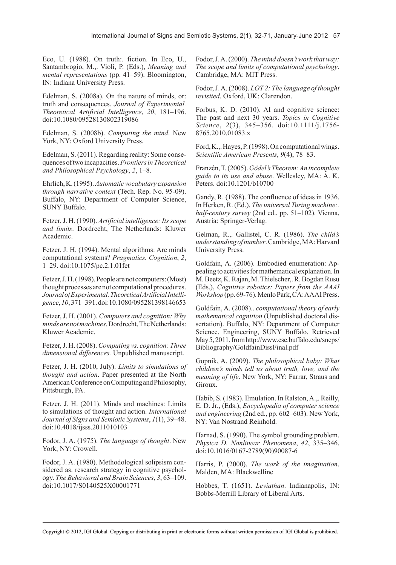Eco, U. (1988). On truth:. fiction. In Eco, U., Santambrogio, M.,. Violi, P. (Eds.), *Meaning and mental representations* (pp. 41–59). Bloomington, IN: Indiana University Press.

Edelman, S. (2008a). On the nature of minds, or: truth and consequences. *Journal of Experimental. Theoretical Artificial Intelligence*, *20*, 181–196. doi:10.1080/09528130802319086

Edelman, S. (2008b). *Computing the mind*. New York, NY: Oxford University Press.

Edelman, S. (2011). Regarding reality: Some consequences of two incapacities. *FrontiersinTheoretical and Philosophical Psychology*, *2*, 1–8.

Ehrlich, K. (1995). *Automatic vocabulary expansion through narrative context* (Tech. Rep. No. 95-09). Buffalo, NY: Department of Computer Science, SUNY Buffalo.

Fetzer, J. H. (1990). *Artificial intelligence: Itsscope and limits*. Dordrecht, The Netherlands: Kluwer Academic.

Fetzer, J. H. (1994). Mental algorithms: Are minds computational systems? *Pragmatics. Cognition*, *2*, 1–29. doi:10.1075/pc.2.1.01fet

Fetzer, J. H. (1998). People are not computers: (Most) thought processes are not computational procedures. *JournalofExperimental.TheoreticalArtificialIntelligence*, *10*, 371–391. doi:10.1080/095281398146653

Fetzer, J. H. (2001). *Computers and cognition: Why mindsarenotmachines*. Dordrecht, The Netherlands: Kluwer Academic.

Fetzer, J. H. (2008). *Computing vs. cognition: Three dimensional differences.* Unpublished manuscript.

Fetzer, J. H. (2010, July). *Limits to simulations of thought and action*. Paper presented at the North American Conference on Computing and Philosophy, Pittsburgh, PA.

Fetzer, J. H. (2011). Minds and machines: Limits to simulations of thought and action. *International Journal of Signs and Semiotic Systems*, *1*(1), 39–48. doi:10.4018/ijsss.2011010103

Fodor, J. A. (1975). *The language of thought*. New York, NY: Crowell.

Fodor, J. A. (1980). Methodological solipsism considered as. research strategy in cognitive psychology. *The Behavioral and Brain Sciences*, *3*, 63–109. doi:10.1017/S0140525X00001771

Fodor, J. A. (2000). *The mind doesn'twork thatway: The scope and limits of computational psychology*. Cambridge, MA: MIT Press.

Fodor, J. A. (2008). *LOT 2: The language of thought revisited*. Oxford, UK: Clarendon.

Forbus, K. D. (2010). AI and cognitive science: The past and next 30 years. *Topics in Cognitive Science*, *2*(3), 345–356. doi:10.1111/j.1756- 8765.2010.01083.x

Ford, K.,. Hayes, P. (1998). On computational wings. *Scientific American Presents*, *9*(4), 78–83.

Franzén, T. (2005). *Gödel'sTheorem:An incomplete guide to its use and abuse*. Wellesley, MA: A. K. Peters. doi:10.1201/b10700

Gandy, R. (1988). The confluence of ideas in 1936. In Herken, R. (Ed.), *The universal Turing machine:. half-century survey* (2nd ed., pp. 51–102). Vienna, Austria: Springer-Verlag.

Gelman, R.,. Gallistel, C. R. (1986). *The child's understandingofnumber*. Cambridge, MA: Harvard University Press.

Goldfain, A. (2006). Embodied enumeration: Appealing to activities for mathematical explanation. In M. Beetz, K. Rajan, M. Thielscher,. R. Bogdan Rusu (Eds.), *Cognitive robotics: Papers from the AAAI Workshop* (pp. 69-76). Menlo Park, CA: AAAI Press.

Goldfain, A. (2008).. *computational theory of early mathematical cognition* (Unpublished doctoral dissertation). Buffalo, NY: Department of Computer Science. Engineering, SUNY Buffalo. Retrieved May 5, 2011, from http://www.cse.buffalo.edu/sneps/ Bibliography/GoldfainDissFinal.pdf

Gopnik, A. (2009). *The philosophical baby: What children's minds tell us about truth, love, and the meaning of life*. New York, NY: Farrar, Straus and Giroux.

Habib, S. (1983). Emulation. In Ralston, A.,. Reilly, E. D. Jr., (Eds.), *Encyclopedia of computer science and engineering* (2nd ed., pp. 602–603). New York, NY: Van Nostrand Reinhold.

Harnad, S. (1990). The symbol grounding problem. *Physica D. Nonlinear Phenomena*, *42*, 335–346. doi:10.1016/0167-2789(90)90087-6

Harris, P. (2000). *The work of the imagination*. Malden, MA: Blackwelline

Hobbes, T. (1651). *Leviathan*. Indianapolis, IN: Bobbs-Merrill Library of Liberal Arts.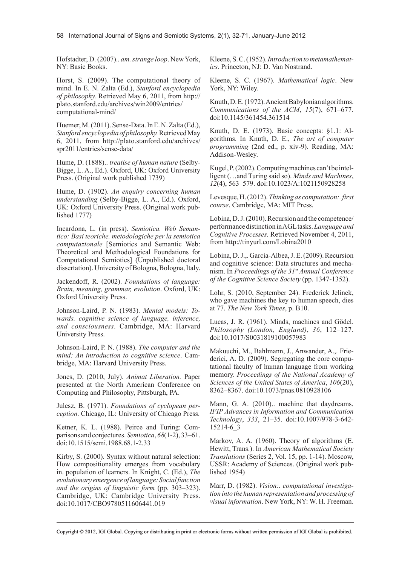Hofstadter, D. (2007).. *am.strange loop*. New York, NY: Basic Books.

Horst, S. (2009). The computational theory of mind. In E. N. Zalta (Ed.), *Stanford encyclopedia of philosophy.* Retrieved May 6, 2011, from http:// plato.stanford.edu/archives/win2009/entries/ computational-mind/

Huemer, M. (2011). Sense-Data. In E. N. Zalta (Ed.), *Stanfordencyclopediaofphilosophy.* Retrieved May 6, 2011, from http://plato.stanford.edu/archives/ spr2011/entries/sense-data/

Hume, D. (1888).. *treatise of human nature* (Selby-Bigge, L. A., Ed.). Oxford, UK: Oxford University Press. (Original work published 1739)

Hume, D. (1902). *An enquiry concerning human understanding* (Selby-Bigge, L. A., Ed.). Oxford, UK: Oxford University Press. (Original work published 1777)

Incardona, L. (in press). *Semiotica. Web Semantico: Basi teoriche. metodologiche per la semiotica computazionale* [Semiotics and Semantic Web: Theoretical and Methodological Foundations for Computational Semiotics] (Unpublished doctoral dissertation). University of Bologna, Bologna, Italy.

Jackendoff, R. (2002). *Foundations of language: Brain, meaning, grammar, evolution*. Oxford, UK: Oxford University Press.

Johnson-Laird, P. N. (1983). *Mental models: Towards. cognitive science of language, inference, and consciousness*. Cambridge, MA: Harvard University Press.

Johnson-Laird, P. N. (1988). *The computer and the mind: An introduction to cognitive science*. Cambridge, MA: Harvard University Press.

Jones, D. (2010, July). *Animat Liberation.* Paper presented at the North American Conference on Computing and Philosophy, Pittsburgh, PA.

Julesz, B. (1971). *Foundations of cyclopean perception*. Chicago, IL: University of Chicago Press.

Ketner, K. L. (1988). Peirce and Turing: Comparisons and conjectures. *Semiotica*, *68*(1-2), 33–61. doi:10.1515/semi.1988.68.1-2.33

Kirby, S. (2000). Syntax without natural selection: How compositionality emerges from vocabulary in. population of learners. In Knight, C. (Ed.), *The evolutionary emergenceoflanguage:Socialfunction and the origins of linguistic form* (pp. 303–323). Cambridge, UK: Cambridge University Press. doi:10.1017/CBO9780511606441.019

Kleene, S. C. (1952). *Introductiontometamathematics*. Princeton, NJ: D. Van Nostrand.

Kleene, S. C. (1967). *Mathematical logic*. New York, NY: Wiley.

Knuth, D. E. (1972). Ancient Babylonian algorithms. *Communications of the ACM*, *15*(7), 671–677. doi:10.1145/361454.361514

Knuth, D. E. (1973). Basic concepts: §1.1: Algorithms. In Knuth, D. E., *The art of computer programming* (2nd ed., p. xiv-9). Reading, MA: Addison-Wesley.

Kugel, P. (2002). Computing machines can't be intelligent (…and Turing said so). *Minds and Machines*, *12*(4), 563–579. doi:10.1023/A:1021150928258

Levesque, H. (2012). *Thinking as computation:.first course*. Cambridge, MA: MIT Press.

Lobina, D. J. (2010). Recursion and the competence/ performance distinction in AGL tasks. *Languageand Cognitive Processes.* Retrieved November 4, 2011, from http://tinyurl.com/Lobina2010

Lobina, D. J.,. García-Albea, J. E. (2009). Recursion and cognitive science: Data structures and mechanism. In *Proceedings of the 31st Annual Conference of the Cognitive Science Society* (pp. 1347-1352).

Lohr, S. (2010, September 24). Frederick Jelinek, who gave machines the key to human speech, dies at 77. *The New York Times*, p. B10.

Lucas, J. R. (1961). Minds, machines and Gödel. *Philosophy (London, England)*, *36*, 112–127. doi:10.1017/S0031819100057983

Makuuchi, M., Bahlmann, J., Anwander, A.,. Friederici, A. D. (2009). Segregating the core computational faculty of human language from working memory. *Proceedings of the National Academy of Sciences of the United States of America*, *106*(20), 8362–8367. doi:10.1073/pnas.0810928106

Mann, G. A. (2010).. machine that daydreams. *IFIP Advances in Information and Communication Technology*, *333*, 21–35. doi:10.1007/978-3-642- 15214-6\_3

Markov, A. A. (1960). Theory of algorithms (E. Hewitt, Trans.). In *American Mathematical Society Translations* (Series 2, Vol. 15, pp. 1-14). Moscow, USSR: Academy of Sciences. (Original work published 1954)

Marr, D. (1982). *Vision:. computational investigation into the human representation and processing of visual information*. New York, NY: W. H. Freeman.

Copyright © 2012, IGI Global. Copying or distributing in print or electronic forms without written permission of IGI Global is prohibited.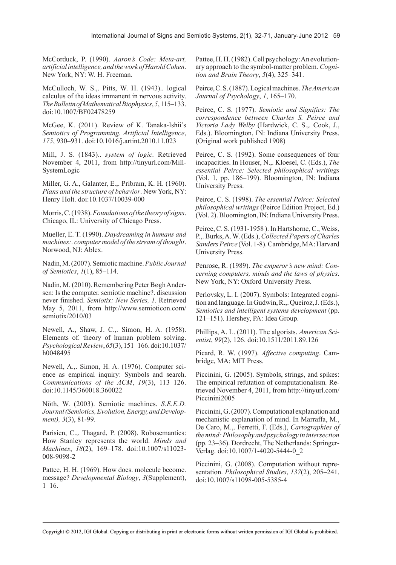McCorduck, P. (1990). *Aaron's Code: Meta-art, artificialintelligence,andtheworkofHaroldCohen*. New York, NY: W. H. Freeman.

McCulloch, W. S.,. Pitts, W. H. (1943).. logical calculus of the ideas immanent in nervous activity. *TheBulletinofMathematicalBiophysics*, *5*, 115–133. doi:10.1007/BF02478259

McGee, K. (2011). Review of K. Tanaka-Ishii's *Semiotics of Programming. Artificial Intelligence*, *175*, 930–931. doi:10.1016/j.artint.2010.11.023

Mill, J. S. (1843).. *system of logic.* Retrieved November 4, 2011, from http://tinyurl.com/Mill-SystemLogic

Miller, G. A., Galanter, E.,. Pribram, K. H. (1960). *Plans and the structure of behavior*. New York, NY: Henry Holt. doi:10.1037/10039-000

Morris, C. (1938). *Foundationsofthe theoryofsigns*. Chicago, IL: University of Chicago Press.

Mueller, E. T. (1990). *Daydreaming in humans and machines:. computermodel of the streamof thought*. Norwood, NJ: Ablex.

Nadin, M. (2007). Semiotic machine. *Public Journal of Semiotics*, *1*(1), 85–114.

Nadin, M. (2010). Remembering Peter Bøgh Andersen: Is the computer. semiotic machine?. discussion never finished. *Semiotix: New Series, 1*. Retrieved May 5, 2011, from http://www.semioticon.com/ semiotix/2010/03

Newell, A., Shaw, J. C.,. Simon, H. A. (1958). Elements of. theory of human problem solving. *PsychologicalReview*, *65*(3), 151–166. doi:10.1037/ h0048495

Newell, A.,. Simon, H. A. (1976). Computer science as empirical inquiry: Symbols and search. *Communications of the ACM*, *19*(3), 113–126. doi:10.1145/360018.360022

Nöth, W. (2003). Semiotic machines. *S.E.E.D. Journal(Semiotics,Evolution,Energy,andDevelopment), 3*(3), 81-99.

Parisien, C.,. Thagard, P. (2008). Robosemantics: How Stanley represents the world. *Minds and Machines*, *18*(2), 169–178. doi:10.1007/s11023- 008-9098-2

Pattee, H. H. (1969). How does. molecule become. message? *Developmental Biology*, *3*(Supplement),  $1-16$ .

Pattee, H. H. (1982). Cell psychology: An evolutionary approach to the symbol-matter problem. *Cognition and Brain Theory*, *5*(4), 325–341.

Peirce, C. S. (1887). Logical machines. *TheAmerican Journal of Psychology*, *1*, 165–170.

Peirce, C. S. (1977). *Semiotic and Significs: The correspondence between Charles S. Peirce and Victoria Lady Welby* (Hardwick, C. S.,. Cook, J., Eds.). Bloomington, IN: Indiana University Press. (Original work published 1908)

Peirce, C. S. (1992). Some consequences of four incapacities. In Houser, N.,. Kloesel, C. (Eds.), *The essential Peirce: Selected philosophical writings* (Vol. 1, pp. 186–199). Bloomington, IN: Indiana University Press.

Peirce, C. S. (1998). *The essential Peirce: Selected philosophical writings* (Peirce Edition Project, Ed.) (Vol. 2). Bloomington, IN: Indiana University Press.

Peirce, C. S. (1931-1958 ). In Hartshorne, C., Weiss, P.,. Burks, A. W. (Eds.), *CollectedPapers ofCharles SandersPeirce* (Vol. 1-8). Cambridge, MA: Harvard University Press.

Penrose, R. (1989). *The emperor's new mind: Concerning computers, minds and the laws of physics*. New York, NY: Oxford University Press.

Perlovsky, L. I. (2007). Symbols: Integrated cognition and language. In Gudwin, R.,. Queiroz, J. (Eds.), *Semiotics and intelligent systems development* (pp. 121–151). Hershey, PA: Idea Group.

Phillips, A. L. (2011). The algorists. *American Scientist*, *99*(2), 126. doi:10.1511/2011.89.126

Picard, R. W. (1997). *Affective computing*. Cambridge, MA: MIT Press.

Piccinini, G. (2005). Symbols, strings, and spikes: The empirical refutation of computationalism*.* Retrieved November 4, 2011, from http://tinyurl.com/ Piccinini2005

Piccinini, G. (2007). Computational explanation and mechanistic explanation of mind. In Marraffa, M., De Caro, M.,. Ferretti, F. (Eds.), *Cartographies of themind:Philosophy and psychology in intersection* (pp. 23–36). Dordrecht, The Netherlands: Springer-Verlag. doi:10.1007/1-4020-5444-0\_2

Piccinini, G. (2008). Computation without representation. *Philosophical Studies*, *137*(2), 205–241. doi:10.1007/s11098-005-5385-4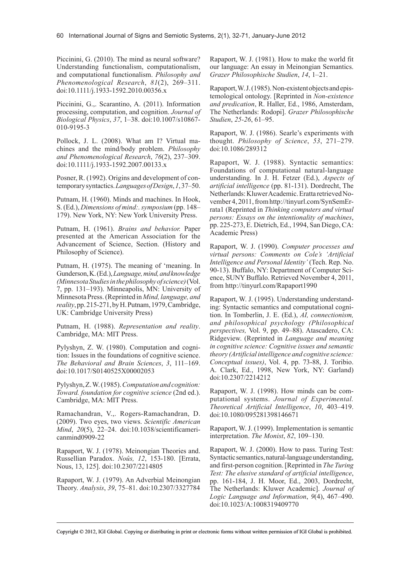Piccinini, G. (2010). The mind as neural software? Understanding functionalism, computationalism, and computational functionalism. *Philosophy and Phenomenological Research*, *81*(2), 269–311. doi:10.1111/j.1933-1592.2010.00356.x

Piccinini, G.,. Scarantino, A. (2011). Information processing, computation, and cognition. *Journal of Biological Physics*, *37*, 1–38. doi:10.1007/s10867- 010-9195-3

Pollock, J. L. (2008). What am I? Virtual machines and the mind/body problem. *Philosophy and Phenomenological Research*, *76*(2), 237–309. doi:10.1111/j.1933-1592.2007.00133.x

Posner, R. (1992). Origins and development of contemporary syntactics. *LanguagesofDesign*, *1*, 37–50.

Putnam, H. (1960). Minds and machines. In Hook, S. (Ed.), *Dimensions of mind:.symposium* (pp. 148– 179). New York, NY: New York University Press.

Putnam, H. (1961). *Brains and behavior.* Paper presented at the American Association for the Advancement of Science, Section. (History and Philosophy of Science).

Putnam, H. (1975). The meaning of 'meaning. In Gunderson, K. (Ed.), *Language,mind,andknowledge (MinnesotaStudiesinthephilosophyofscience)* (Vol. 7, pp. 131–193). Minneapolis, MN: University of Minnesota Press. (Reprinted in *Mind, language, and reality*, pp. 215-271, by H. Putnam, 1979, Cambridge, UK: Cambridge University Press)

Putnam, H. (1988). *Representation and reality*. Cambridge, MA: MIT Press.

Pylyshyn, Z. W. (1980). Computation and cognition: Issues in the foundations of cognitive science. *The Behavioral and Brain Sciences*, *3*, 111–169. doi:10.1017/S0140525X00002053

Pylyshyn, Z. W. (1985). *Computationandcognition: Toward. foundation for cognitive science* (2nd ed.). Cambridge, MA: MIT Press.

Ramachandran, V.,. Rogers-Ramachandran, D. (2009). Two eyes, two views. *Scientific American Mind*, *20*(5), 22–24. doi:10.1038/scientificamericanmind0909-22

Rapaport, W. J. (1978). Meinongian Theories and. Russellian Paradox. *Noûs, 12*, 153-180. [Errata, Nous, 13, 125]. doi:10.2307/2214805

Rapaport, W. J. (1979). An Adverbial Meinongian Theory. *Analysis*, *39*, 75–81. doi:10.2307/3327784 Rapaport, W. J. (1981). How to make the world fit our language: An essay in Meinongian Semantics. *Grazer Philosophische Studien*, *14*, 1–21.

Rapaport, W. J. (1985). Non-existent objects and epistemological ontology. [Reprinted in *Non-existence and predication*, R. Haller, Ed., 1986, Amsterdam, The Netherlands: Rodopi]. *Grazer Philosophische Studien*, *25-26*, 61–95.

Rapaport, W. J. (1986). Searle's experiments with thought. *Philosophy of Science*, *53*, 271–279. doi:10.1086/289312

Rapaport, W. J. (1988). Syntactic semantics: Foundations of computational natural-language understanding. In J. H. Fetzer (Ed.), *Aspects of artificial intelligence* (pp. 81-131). Dordrecht, The Netherlands: Kluwer Academic. Eratta retrieved November 4, 2011, from http://tinyurl.com/SynSemErrata1 (Reprinted in *Thinking computers and virtual persons: Essays on the intentionality of machines*, pp. 225-273, E. Dietrich, Ed., 1994, San Diego, CA: Academic Press)

Rapaport, W. J. (1990). *Computer processes and virtual persons: Comments on Cole's 'Artificial Intelligence and Personal Identity'* (Tech. Rep. No. 90-13). Buffalo, NY: Department of Computer Science, SUNY Buffalo. Retrieved November 4, 2011, from http://tinyurl.com/Rapaport1990

Rapaport, W. J. (1995). Understanding understanding: Syntactic semantics and computational cognition. In Tomberlin, J. E. (Ed.), *AI, connectionism, and philosophical psychology (Philosophical perspectives,* Vol. 9, pp. 49–88). Atascadero, CA: Ridgeview. (Reprinted in *Language and meaning in cognitive science: Cognitive issues and semantic theory (Artificial intelligence and cognitive science: Conceptual issues)*, Vol. 4, pp. 73-88, J. Toribio. A. Clark, Ed., 1998, New York, NY: Garland) doi:10.2307/2214212

Rapaport, W. J. (1998). How minds can be computational systems. *Journal of Experimental. Theoretical Artificial Intelligence*, *10*, 403–419. doi:10.1080/095281398146671

Rapaport, W. J. (1999). Implementation is semantic interpretation. *The Monist*, *82*, 109–130.

Rapaport, W. J. (2000). How to pass. Turing Test: Syntactic semantics, natural-language understanding, and first-person cognition. [Reprinted in *The Turing Test: The elusive standard of artificial intelligence*, pp. 161-184, J. H. Moor, Ed., 2003, Dordrecht, The Netherlands: Kluwer Academic]. *Journal of Logic Language and Information*, *9*(4), 467–490. doi:10.1023/A:1008319409770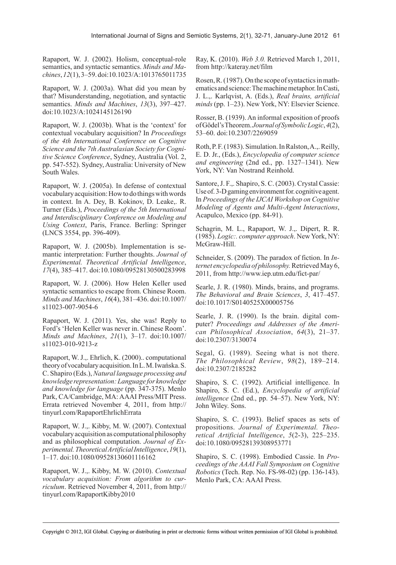Rapaport, W. J. (2002). Holism, conceptual-role semantics, and syntactic semantics. *Minds and Machines*, *12*(1), 3–59. doi:10.1023/A:1013765011735

Rapaport, W. J. (2003a). What did you mean by that? Misunderstanding, negotiation, and syntactic semantics. *Minds and Machines*, *13*(3), 397–427. doi:10.1023/A:1024145126190

Rapaport, W. J. (2003b). What is the 'context' for contextual vocabulary acquisition? In *Proceedings of the 4th International Conference on Cognitive Science and the 7th Australasian Society for Cognitive Science Conference*, Sydney, Australia (Vol. 2, pp. 547-552). Sydney, Australia: University of New South Wales.

Rapaport, W. J. (2005a). In defense of contextual vocabulary acquisition: How to do things with words in context. In A. Dey, B. Kokinov, D. Leake,. R. Turner (Eds.), *Proceedings of the 5th International and Interdisciplinary Conference on Modeling and Using Context*, Paris, France. Berling: Springer (LNCS 3554, pp. 396-409).

Rapaport, W. J. (2005b). Implementation is semantic interpretation: Further thoughts. *Journal of Experimental. Theoretical Artificial Intelligence*, *17*(4), 385–417. doi:10.1080/09528130500283998

Rapaport, W. J. (2006). How Helen Keller used syntactic semantics to escape from. Chinese Room. *Minds and Machines*, *16*(4), 381–436. doi:10.1007/ s11023-007-9054-6

Rapaport, W. J. (2011). Yes, she was! Reply to Ford's 'Helen Keller was never in. Chinese Room'. *Minds and Machines*, *21*(1), 3–17. doi:10.1007/ s11023-010-9213-z

Rapaport, W. J.,. Ehrlich, K. (2000).. computational theory of vocabulary acquisition. In L. M. Iwańska. S. C. Shapiro (Eds.), *Natural language processing and knowledge representation:Language for knowledge and knowledge for language* (pp. 347-375). Menlo Park, CA/Cambridge, MA: AAAI Press/MIT Press. Errata retrieved November 4, 2011, from http:// tinyurl.com/RapaportEhrlichErrata

Rapaport, W. J.,. Kibby, M. W. (2007). Contextual vocabulary acquisition as computational philosophy and as philosophical computation. *Journal of Experimental.TheoreticalArtificialIntelligence*, *19*(1), 1–17. doi:10.1080/09528130601116162

Rapaport, W. J.,. Kibby, M. W. (2010). *Contextual vocabulary acquisition: From algorithm to curriculum*. Retrieved November 4, 2011, from http:// tinyurl.com/RapaportKibby2010

Ray, K. (2010). *Web 3.0.* Retrieved March 1, 2011, from http://kateray.net/film

Rosen, R. (1987). On the scope of syntactics in mathematics and science: The machine metaphor. In Casti, J. L.,. Karlqvist, A. (Eds.), *Real brains, artificial minds* (pp. 1–23). New York, NY: Elsevier Science.

Rosser, B. (1939). An informal exposition of proofs of Gödel's Theorem. *JournalofSymbolicLogic*, *4*(2), 53–60. doi:10.2307/2269059

Roth, P. F. (1983). Simulation. In Ralston, A.,. Reilly, E. D. Jr., (Eds.), *Encyclopedia of computer science and engineering* (2nd ed., pp. 1327–1341). New York, NY: Van Nostrand Reinhold.

Santore, J. F.,. Shapiro, S. C. (2003). Crystal Cassie: Use of. 3-D gaming environment for. cognitive agent. In *Proceedings of the IJCAI Workshop on Cognitive Modeling of Agents and Multi-Agent Interactions*, Acapulco, Mexico (pp. 84-91).

Schagrin, M. L., Rapaport, W. J.,. Dipert, R. R. (1985). *Logic:. computer approach*. New York, NY: McGraw-Hill.

Schneider, S. (2009). The paradox of fiction. In *Internet encyclopedia of philosophy.* Retrieved May 6, 2011, from http://www.iep.utm.edu/fict-par/

Searle, J. R. (1980). Minds, brains, and programs. *The Behavioral and Brain Sciences*, *3*, 417–457. doi:10.1017/S0140525X00005756

Searle, J. R. (1990). Is the brain. digital computer? *Proceedings and Addresses of the American Philosophical Association*, *64*(3), 21–37. doi:10.2307/3130074

Segal, G. (1989). Seeing what is not there. *The Philosophical Review*, *98*(2), 189–214. doi:10.2307/2185282

Shapiro, S. C. (1992). Artificial intelligence. In Shapiro, S. C. (Ed.), *Encyclopedia of artificial intelligence* (2nd ed., pp. 54–57). New York, NY: John Wiley. Sons.

Shapiro, S. C. (1993). Belief spaces as sets of propositions. *Journal of Experimental. Theoretical Artificial Intelligence*, *5*(2-3), 225–235. doi:10.1080/09528139308953771

Shapiro, S. C. (1998). Embodied Cassie. In *Proceedings of the AAAI Fall Symposium on Cognitive Robotics* (Tech. Rep. No. FS-98-02) (pp. 136-143). Menlo Park, CA: AAAI Press.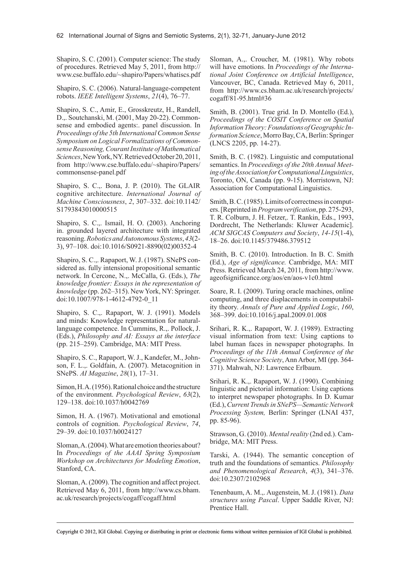Shapiro, S. C. (2001). Computer science: The study of procedures. Retrieved May 5, 2011, from http:// www.cse.buffalo.edu/~shapiro/Papers/whatiscs.pdf

Shapiro, S. C. (2006). Natural-language-competent robots. *IEEE Intelligent Systems*, *21*(4), 76–77.

Shapiro, S. C., Amir, E., Grosskreutz, H., Randell, D.,. Soutchanski, M. (2001, May 20-22). Commonsense and embodied agents:. panel discussion. In *Proceedings of the 5th InternationalCommon Sense Symposium on Logical Formalizations of CommonsenseReasoning,CourantInstitute of Mathematical Sciences*, New York, NY. Retrieved October 20, 2011, from http://www.cse.buffalo.edu/~shapiro/Papers/ commonsense-panel.pdf

Shapiro, S. C.,. Bona, J. P. (2010). The GLAIR cognitive architecture. *International Journal of Machine Consciousness*, *2*, 307–332. doi:10.1142/ S1793843010000515

Shapiro, S. C.,. Ismail, H. O. (2003). Anchoring in. grounded layered architecture with integrated reasoning. *Robotics andAutonomous Systems*, *43*(2- 3), 97–108. doi:10.1016/S0921-8890(02)00352-4

Shapiro, S. C.,. Rapaport, W. J. (1987). SNePS considered as. fully intensional propositional semantic network. In Cercone, N.,. McCalla, G. (Eds.), *The knowledge frontier: Essays in the representation of knowledge* (pp. 262–315). New York, NY: Springer. doi:10.1007/978-1-4612-4792-0\_11

Shapiro, S. C.,. Rapaport, W. J. (1991). Models and minds: Knowledge representation for naturallanguage competence. In Cummins, R.,. Pollock, J. (Eds.), *Philosophy and AI: Essays at the interface* (pp. 215–259). Cambridge, MA: MIT Press.

Shapiro, S. C., Rapaport, W. J., Kandefer, M., Johnson, F. L.,. Goldfain, A. (2007). Metacognition in SNePS. *AI Magazine*, *28*(1), 17–31.

Simon, H. A. (1956). Rational choice and the structure of the environment. *Psychological Review*, *63*(2), 129–138. doi:10.1037/h0042769

Simon, H. A. (1967). Motivational and emotional controls of cognition. *Psychological Review*, *74*, 29–39. doi:10.1037/h0024127

Sloman, A. (2004). What are emotion theories about? In *Proceedings of the AAAI Spring Symposium Workshop on Architectures for Modeling Emotion*, Stanford, CA.

Sloman, A. (2009). The cognition and affect project. Retrieved May 6, 2011, from http://www.cs.bham. ac.uk/research/projects/cogaff/cogaff.html

Sloman, A.,. Croucher, M. (1981). Why robots will have emotions. In *Proceedings of the International Joint Conference on Artificial Intelligence*, Vancouver, BC, Canada. Retrieved May 6, 2011, from http://www.cs.bham.ac.uk/research/projects/ cogaff/81-95.html#36

Smith, B. (2001). True grid. In D. Montello (Ed.), *Proceedings of the COSIT Conference on Spatial InformationTheory:FoundationsofGeographic Information Science*, Morro Bay, CA, Berlin: Springer (LNCS 2205, pp. 14-27).

Smith, B. C. (1982). Linguistic and computational semantics. In *Proceedings of the 20th Annual MeetingoftheAssociationforComputationalLinguistics*, Toronto, ON, Canada (pp. 9-15). Morristown, NJ: Association for Computational Linguistics.

Smith, B. C. (1985). Limits of correctness in computers. [Reprinted in *Programverification*, pp. 275-293, T. R. Colburn, J. H. Fetzer,. T. Rankin, Eds., 1993, Dordrecht, The Netherlands: Kluwer Academic]. *ACM SIGCAS Computers and Society*, *14-15*(1-4), 18–26. doi:10.1145/379486.379512

Smith, B. C. (2010). Introduction. In B. C. Smith (Ed.), *Age of significance.* Cambridge, MA: MIT Press. Retrieved March 24, 2011, from http://www. ageofsignificance.org/aos/en/aos-v1c0.html

Soare, R. I. (2009). Turing oracle machines, online computing, and three displacements in computability theory. *Annals of Pure and Applied Logic*, *160*, 368–399. doi:10.1016/j.apal.2009.01.008

Srihari, R. K.,. Rapaport, W. J. (1989). Extracting visual information from text: Using captions to label human faces in newspaper photographs. In *Proceedings of the 11th Annual Conference of the Cognitive Science Society*, Ann Arbor, MI (pp. 364- 371). Mahwah, NJ: Lawrence Erlbaum.

Srihari, R. K.,. Rapaport, W. J. (1990). Combining linguistic and pictorial information: Using captions to interpret newspaper photographs. In D. Kumar (Ed.), *Current Trendsin SNePS—SemanticNetwork Processing System,* Berlin: Springer (LNAI 437, pp. 85-96).

Strawson, G. (2010). *Mental reality* (2nd ed.). Cambridge, MA: MIT Press.

Tarski, A. (1944). The semantic conception of truth and the foundations of semantics. *Philosophy and Phenomenological Research*, *4*(3), 341–376. doi:10.2307/2102968

Tenenbaum, A. M.,. Augenstein, M. J. (1981). *Data structures using Pascal*. Upper Saddle River, NJ: Prentice Hall.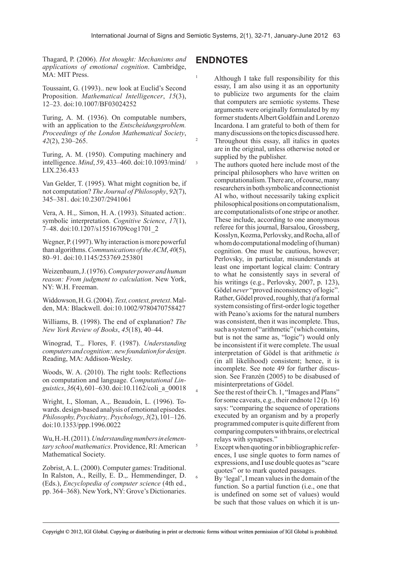Thagard, P. (2006). *Hot thought: Mechanisms and applications of emotional cognition*. Cambridge, MA: MIT Press.

Toussaint, G. (1993).. new look at Euclid's Second Proposition. *Mathematical Intelligencer*, *15*(3), 12–23. doi:10.1007/BF03024252

Turing, A. M. (1936). On computable numbers, with an application to the *Entscheidungsproblem. Proceedings of the London Mathematical Society*, *42*(2), 230–265.

Turing, A. M. (1950). Computing machinery and intelligence. *Mind*, *59*, 433–460. doi:10.1093/mind/ LIX.236.433

Van Gelder, T. (1995). What might cognition be, if not computation? *The Journal of Philosophy*, *92*(7), 345–381. doi:10.2307/2941061

Vera, A. H.,. Simon, H. A. (1993). Situated action:. symbolic interpretation. *Cognitive Science*, *17*(1), 7–48. doi:10.1207/s15516709cog1701\_2

Wegner, P. (1997). Why interaction is more powerful than algorithms. *CommunicationsoftheACM*, *40*(5), 80–91. doi:10.1145/253769.253801

Weizenbaum, J. (1976). *Computerpowerandhuman reason: From judgment to calculation*. New York, NY: W.H. Freeman.

Widdowson, H. G. (2004). Text, context, pretext. Malden, MA: Blackwell. doi:10.1002/9780470758427

Williams, B. (1998). The end of explanation? *The New York Review of Books*, *45*(18), 40–44.

Winograd, T.,. Flores, F. (1987). *Understanding computersandcognition:.newfoundationfordesign*. Reading, MA: Addison-Wesley.

Woods, W. A. (2010). The right tools: Reflections on computation and language. *Computational Linguistics*, *36*(4), 601–630. doi:10.1162/coli\_a\_00018

Wright, I., Sloman, A.,. Beaudoin, L. (1996). Towards. design-based analysis of emotional episodes. *Philosophy,Psychiatry,.Psychology*, *3*(2), 101–126. doi:10.1353/ppp.1996.0022

Wu, H.-H. (2011). *Understandingnumbersinelementary school mathematics*. Providence, RI: American Mathematical Society.

Zobrist, A. L. (2000). Computer games: Traditional. In Ralston, A., Reilly, E. D.,. Hemmendinger, D. (Eds.), *Encyclopedia of computer science* (4th ed., pp. 364–368). New York, NY: Grove's Dictionaries.

## **ENDNOTES**

1 Although I take full responsibility for this essay, I am also using it as an opportunity to publicize two arguments for the claim that computers are semiotic systems. These arguments were originally formulated by my former students Albert Goldfain and Lorenzo Incardona. I am grateful to both of them for many discussions on the topics discussed here. <sup>2</sup> Throughout this essay, all italics in quotes are in the original, unless otherwise noted or supplied by the publisher.

<sup>3</sup> The authors quoted here include most of the principal philosophers who have written on computationalism. There are, of course, many researchers in both symbolic and connectionist AI who, without necessarily taking explicit philosophical positions on computationalism, are computationalists of one stripe or another. These include, according to one anonymous referee for this journal, Barsalou, Grossberg, Kosslyn, Kozma, Perlovsky, and Rocha, all of whom do computational modeling of (human) cognition. One must be cautious, however; Perlovsky, in particular, misunderstands at least one important logical claim: Contrary to what he consistently says in several of his writings (e.g., Perlovsky, 2007, p. 123), Gödel *never* "proved inconsistency of logic". Rather, Gödel proved, roughly, that *if* a formal system consisting of first-order logic together with Peano's axioms for the natural numbers was consistent, then it was incomplete. Thus, such a system of "arithmetic" (which contains, but is not the same as, "logic") would only be inconsistent if it were complete. The usual interpretation of Gödel is that arithmetic *is* (in all likelihood) consistent; hence, it is incomplete. See note 49 for further discussion. See Franzén (2005) to be disabused of misinterpretations of Gödel.

See the rest of their Ch. 1, "Images and Plans" for some caveats, e.g., their endnote 12 (p. 16) says: "comparing the sequence of operations executed by an organism and by a properly programmed computer is quite different from comparing computers with brains, or electrical relays with synapses."

5 Except when quoting or in bibliographic references, I use single quotes to form names of expressions, and I use double quotes as "scare quotes" or to mark quoted passages.

> By 'legal', I mean values in the domain of the function. So a partial function (i.e., one that is undefined on some set of values) would be such that those values on which it is un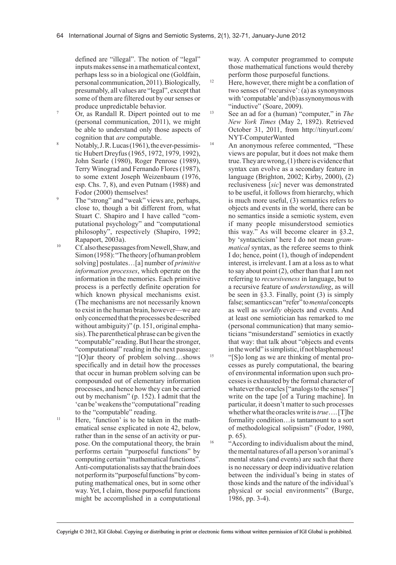defined are "illegal". The notion of "legal" inputs makes sense in a mathematical context, perhaps less so in a biological one (Goldfain, personal communication, 2011). Biologically, presumably, all values are "legal", except that some of them are filtered out by our senses or produce unpredictable behavior.

Or, as Randall R. Dipert pointed out to me (personal communication, 2011), we might be able to understand only those aspects of cognition that *are* computable.

- <sup>8</sup> Notably, J. R. Lucas  $(1961)$ , the ever-pessimistic Hubert Dreyfus (1965, 1972, 1979, 1992), John Searle (1980), Roger Penrose (1989), Terry Winograd and Fernando Flores (1987), to some extent Joseph Weizenbaum (1976, esp. Chs. 7, 8), and even Putnam (1988) and Fodor (2000) themselves!
- The "strong" and "weak" views are, perhaps, close to, though a bit different from, what Stuart C. Shapiro and I have called "computational psychology" and "computational philosophy", respectively (Shapiro, 1992; Rapaport, 2003a).
- <sup>10</sup> Cf. also these passages from Newell, Shaw, and Simon (1958): "The theory [of human problem solving] postulates…[a] number of *primitive information processes*, which operate on the information in the memories. Each primitive process is a perfectly definite operation for which known physical mechanisms exist. (The mechanisms are not necessarily known to exist in the human brain, however—we are only concerned that the processes be described without ambiguity)" (p. 151, original emphasis). The parenthetical phrase can be given the "computable" reading. But I hear the stronger, "computational" reading in the next passage: "[O]ur theory of problem solving…shows specifically and in detail how the processes that occur in human problem solving can be compounded out of elementary information processes, and hence how they can be carried out by mechanism" (p. 152). I admit that the 'can be' weakens the "computational" reading to the "computable" reading.
- $<sup>11</sup>$  Here, 'function' is to be taken in the math-</sup> ematical sense explicated in note 42, below, rather than in the sense of an activity or purpose. On the computational theory, the brain performs certain "purposeful functions" by computing certain "mathematical functions". Anti-computationalists say that the brain does not perform its "purposeful functions" by computing mathematical ones, but in some other way. Yet, I claim, those purposeful functions might be accomplished in a computational

way. A computer programmed to compute those mathematical functions would thereby perform those purposeful functions.

- $12$  Here, however, there might be a conflation of two senses of 'recursive': (a) as synonymous with 'computable' and (b) as synonymous with "inductive" (Soare, 2009).
- 13 See an ad for a (human) "computer," in *The New York Times* (May 2, 1892). Retrieved October 31, 2011, from http://tinyurl.com/ NYT-ComputerWanted
- <sup>14</sup> An anonymous referee commented, "These views are popular, but it does not make them true. They are wrong, (1) there is evidence that syntax can evolve as a secondary feature in language (Brighton, 2002; Kirby, 2000), (2) reclusiveness [*sic*] never was demonstrated to be useful, it follows from hierarchy, which is much more useful, (3) semantics refers to objects and events in the world, there can be no semantics inside a semiotic system, even if many people misunderstood semiotics this way." As will become clearer in §3.2, by 'syntacticism' here I do not mean *grammatical* syntax, as the referee seems to think I do; hence, point (1), though of independent interest, is irrelevant. I am at a loss as to what to say about point (2), other than that I am not referring to *recursiveness* in language, but to a recursive feature of *understanding*, as will be seen in §3.3. Finally, point (3) is simply false; semantics can "refer" to *mental* concepts as well as *worldly* objects and events. And at least one semiotician has remarked to me (personal communication) that many semioticians "misunderstand" semiotics in exactly that way: that talk about "objects and events in the world" is simplistic, if not blasphemous! <sup>15</sup> "[S]o long as we are thinking of mental processes as purely computational, the bearing of environmental information upon such processes is exhausted by the formal character of whatever the oracles ["analogs to the senses"] write on the tape [of a Turing machine]. In particular, it doesn't matter to such processes whether what the oracles write is *true*…. [T]he formality condition…is tantamount to a sort of methodological solipsism" (Fodor, 1980, p. 65).

<sup>16</sup> <sup>16</sup> According to individualism about the mind, the mental natures of all a person's or animal's mental states (and events) are such that there is no necessary or deep individuative relation between the individual's being in states of those kinds and the nature of the individual's physical or social environments" (Burge, 1986, pp. 3-4).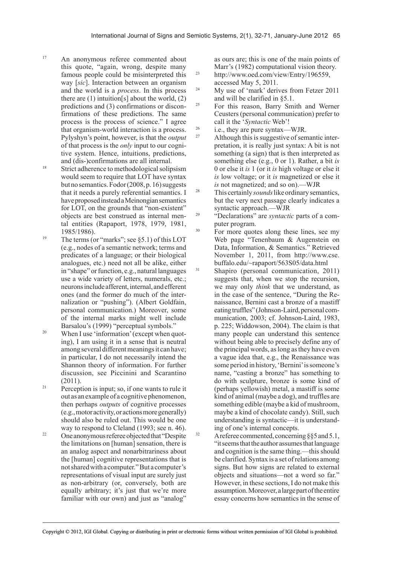- 17 An anonymous referee commented about this quote, "again, wrong, despite many famous people could be misinterpreted this way [*sic*]. Interaction between an organism and the world is a *process*. In this process there are  $(1)$  intuition[s] about the world,  $(2)$ predictions and (3) confirmations or disconfirmations of these predictions. The same process is the process of science." I agree that organism-world interaction is a process. Pylyshyn's point, however, is that the *output* of that process is the *only* input to our cognitive system. Hence, intuitions, predictions, and (dis-)confirmations are all internal.
- <sup>18</sup> Strict adherence to methodological solipsism would seem to require that LOT have syntax but no semantics. Fodor (2008, p. 16) suggests that it needs a purely referential semantics. I have proposed instead a Meinongian semantics for LOT, on the grounds that "non-existent" objects are best construed as internal mental entities (Rapaport, 1978, 1979, 1981, 1985/1986).
- <sup>19</sup> The terms (or "marks"; see  $\S$ 5.1) of this LOT (e.g., nodes of a semantic network; terms and predicates of a language; or their biological analogues, etc.) need not all be alike, either in "shape" or function, e.g., natural languages use a wide variety of letters, numerals, etc.; neurons include afferent, internal, and efferent ones (and the former do much of the internalization or "pushing"). (Albert Goldfain, personal communication.) Moreover, some of the internal marks might well include Barsalou's (1999) "perceptual symbols."
- <sup>20</sup> When I use 'information' (except when quoting), I am using it in a sense that is neutral among several different meanings it can have; in particular, I do not necessarily intend the Shannon theory of information. For further discussion, see Piccinini and Scarantino (2011).
- $21$  Perception is input; so, if one wants to rule it out as an example of a cognitive phenomenon, then perhaps *outputs* of cognitive processes (e.g., motor activity, or actions more generally) should also be ruled out. This would be one way to respond to Cleland (1993; see n. 46).
- <sup>22</sup> One anonymous referee objected that "Despite" the limitations on [human] sensation, there is an analog aspect and nonarbitrariness about the [human] cognitive representations that is not shared with a computer." But a computer's representations of visual input are surely just as non-arbitrary (or, conversely, both are equally arbitrary; it's just that we're more familiar with our own) and just as "analog"

as ours are; this is one of the main points of Marr's (1982) computational vision theory. 23 http://www.oed.com/view/Entry/196559, accessed May 5, 2011.

- <sup>24</sup> My use of 'mark' derives from Fetzer 2011 and will be clarified in §5.1.
- <sup>25</sup> For this reason, Barry Smith and Werner Ceusters (personal communication) prefer to call it the '*Syntactic* Web'!
- <sup>26</sup> i.e., they are pure syntax—WJR.<br> $^{27}$  Although this is suggestive of sep
	- Although this is suggestive of semantic interpretation, it is really just syntax: A bit is not something (a sign) that is then interpreted as something else (e.g., 0 or 1). Rather, a bit *is* 0 or else it *is* 1 (or it *is* high voltage or else it *is* low voltage; or it *is* magnetized or else it *is* not magnetized; and so on).—WJR
- 28 This certainly *sounds* like ordinary semantics, but the very next passage clearly indicates a syntactic approach.—WJR
- 29 "Declarations" are *syntactic* parts of a computer program.
- <sup>30</sup> For more quotes along these lines, see my Web page "Tenenbaum & Augenstein on Data, Information, & Semantics." Retrieved November 1, 2011, from http://www.cse. buffalo.edu/~rapaport/563S05/data.html
- $31$  Shapiro (personal communication, 2011) suggests that, when we stop the recursion, we may only *think* that we understand, as in the case of the sentence, "During the Renaissance, Bernini cast a bronze of a mastiff eating truffles" (Johnson-Laird, personal communication, 2003; cf. Johnson-Laird, 1983, p. 225; Widdowson, 2004). The claim is that many people can understand this sentence without being able to precisely define any of the principal words, as long as they have even a vague idea that, e.g., the Renaissance was some period in history, 'Bernini' is someone's name, "casting a bronze" has something to do with sculpture, bronze is some kind of (perhaps yellowish) metal, a mastiff is some kind of animal (maybe a dog), and truffles are something edible (maybe a kid of mushroom, maybe a kind of chocolate candy). Still, such understanding is syntactic—it is understanding of one's internal concepts.
- $32$  A referee commented, concerning §§5 and 5.1, "it seems that the author assumes that language and cognition is the same thing.—this should be clarified. Syntax is a set of relations among signs. But how signs are related to external objects and situations—not a word so far." However, in these sections, I do not make this assumption. Moreover, a large part of the entire essay concerns how semantics in the sense of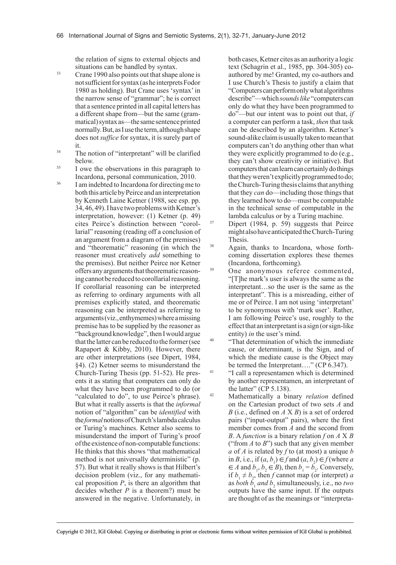the relation of signs to external objects and situations can be handled by syntax.

- 33 Crane 1990 also points out that shape alone is not sufficient for syntax (as he interprets Fodor 1980 as holding). But Crane uses 'syntax' in the narrow sense of "grammar"; he is correct that a sentence printed in all capital letters has a different shape from—but the same (grammatical) syntax as—the same sentence printed normally. But, as I use the term, although shape does not *suffice* for syntax, it is surely part of it.
- <sup>34</sup> The notion of "interpretant" will be clarified below.
- <sup>35</sup> I owe the observations in this paragraph to Incardona, personal communication, 2010.
- <sup>36</sup> I am indebted to Incardona for directing me to both this article by Peirce and an interpretation by Kenneth Laine Ketner (1988, see esp. pp. 34, 46, 49). I have two problems with Ketner's interpretation, however: (1) Ketner (p. 49) cites Peirce's distinction between "corollarial" reasoning (reading off a conclusion of an argument from a diagram of the premises) and "theorematic" reasoning (in which the reasoner must creatively *add* something to the premises). But neither Peirce nor Ketner offers any arguments that theorematic reasoning cannot be reduced to corollarial reasoning. If corollarial reasoning can be interpreted as referring to ordinary arguments with all premises explicitly stated, and theorematic reasoning can be interpreted as referring to arguments (viz., enthymemes) where a missing premise has to be supplied by the reasoner as "background knowledge", then I would argue that the latter can be reduced to the former (see Rapaport & Kibby, 2010). However, there are other interpretations (see Dipert, 1984, §4). (2) Ketner seems to misunderstand the Church-Turing Thesis (pp. 51-52). He presents it as stating that computers can only do what they have been programmed to do (or "calculated to do", to use Peirce's phrase). But what it really asserts is that the *informal* notion of "algorithm" can be *identified* with the *formal* notions of Church's lambda calculus or Turing's machines. Ketner also seems to misunderstand the import of Turing's proof of the existence of non-computable functions: He thinks that this shows "that mathematical method is not universally deterministic" (p. 57). But what it really shows is that Hilbert's decision problem (viz., for any mathematical proposition *P*, is there an algorithm that decides whether *P* is a theorem?) must be answered in the negative. Unfortunately, in

both cases, Ketner cites as an authority a logic text (Schagrin et al., 1985, pp. 304-305) coauthored by me! Granted, my co-authors and I use Church's Thesis to justify a claim that "Computers can perform only what algorithms describe"—which *sounds like* "computers can only do what they have been programmed to do"—but our intent was to point out that, *if* a computer can perform a task, *then* that task can be described by an algorithm. Ketner's sound-alike claim is usually taken to mean that computers can't do anything other than what they were explicitly programmed to do (e.g., they can't show creativity or initiative). But computers that can learn can certainly do things that they weren't explicitly programmed to do; the Church-Turing thesis claims that anything that they *can* do—including those things that they learned how to do—must be computable in the technical sense of computable in the lambda calculus or by a Turing machine.

Dipert (1984, p. 59) suggests that Peirce might also have anticipated the Church-Turing Thesis.

38 Again, thanks to Incardona, whose forthcoming dissertation explores these themes (Incardona, forthcoming).

- <sup>39</sup> One anonymous referee commented, "[T]he mark's user is always the same as the interpretant…so the user is the same as the interpretant". This is a misreading, either of me or of Peirce. I am not using 'interpretant' to be synonymous with 'mark user'. Rather, I am following Peirce's use, roughly to the effect that an interpretant is a sign (or sign-like entity) *in* the user's mind.
- <sup>40</sup> "That determination of which the immediate cause, or determinant, is the Sign, and of which the mediate cause is the Object may be termed the Interpretant...." (CP 6.347).
- <sup>41</sup> "I call a representamen which is determined by another representamen, an interpretant of the latter" (CP 5.138).
- 42 Mathematically a binary *relation* defined on the Cartesian product of two sets *A* and *B* (i.e., defined on *A* X *B*) is a set of ordered pairs ("input-output" pairs), where the first member comes from *A* and the second from *B*. A *function* is a binary relation *f* on *A* X *B* ("from *A* to *B*") such that any given member *a* of *A* is related by *f* to (at most) a unique *b* in *B*, i.e., if  $(a, b_1) \in f$  and  $(a, b_2) \in f$  (where *a*  $\in$  *A* and  $b_1$ ,  $b_2 \in B$ ), then  $b_1 = b_2$ . Conversely, if  $b_1 \neq b_2$ , then *f* cannot map (or interpret) *a* as *both*  $b_1$  *and*  $b_2$  simultaneously, i.e., no *two* outputs have the same input. If the outputs are thought of as the meanings or "interpreta-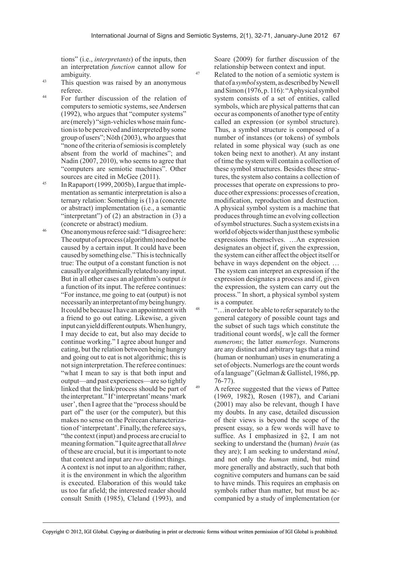tions" (i.e., *interpretants*) of the inputs, then an interpretation *function* cannot allow for ambiguity.

- <sup>43</sup> This question was raised by an anonymous referee.
- 44 For further discussion of the relation of computers to semiotic systems, see Andersen (1992), who argues that "computer systems" are (merely) "sign-vehicles whose main function is to be perceived and interpreted by some group of users"; Nöth (2003), who argues that "none of the criteria of semiosis is completely absent from the world of machines"; and Nadin (2007, 2010), who seems to agree that "computers are semiotic machines". Other sources are cited in McGee (2011).
- 45 In Rapaport (1999, 2005b), I argue that implementation as semantic interpretation is also a ternary relation: Something is (1) a (concrete or abstract) implementation (i.e., a semantic "interpretant") of  $(2)$  an abstraction in  $(3)$  a (concrete or abstract) medium.
- 46 One anonymous referee said: "I disagree here: The output of a process (algorithm) need not be caused by a certain input. It could have been caused by something else." This is technically true: The output of a constant function is not causally or algorithmically related to any input. But in all other cases an algorithm's output *is* a function of its input. The referee continues: "For instance, me going to eat (output) is not necessarily an interpretant of my being hungry. It could be because I have an appointment with a friend to go out eating. Likewise, a given input can yield different outputs. When hungry, I may decide to eat, but also may decide to continue working." I agree about hunger and eating, but the relation between being hungry and going out to eat is not algorithmic; this is not sign interpretation. The referee continues: "what I mean to say is that both input and output—and past experiences—are so tightly linked that the link/process should be part of the interpretant." If 'interpretant' means 'mark user', then I agree that the "process should be part of" the user (or the computer), but this makes no sense on the Peircean characterization of 'interpretant'. Finally, the referee says, "the context (input) and process are crucial to meaning formation." I quite agree that all *three* of these are crucial, but it is important to note that context and input are *two* distinct things. A context is not input to an algorithm; rather, it is the environment in which the algorithm is executed. Elaboration of this would take us too far afield; the interested reader should consult Smith (1985), Cleland (1993), and

Soare (2009) for further discussion of the relationship between context and input.

- <sup>47</sup> Related to the notion of a semiotic system is that of a *symbol* system, as described by Newell and Simon (1976, p. 116): "A physical symbol system consists of a set of entities, called symbols, which are physical patterns that can occur as components of another type of entity called an expression (or symbol structure). Thus, a symbol structure is composed of a number of instances (or tokens) of symbols related in some physical way (such as one token being next to another). At any instant of time the system will contain a collection of these symbol structures. Besides these structures, the system also contains a collection of processes that operate on expressions to produce other expressions: processes of creation, modification, reproduction and destruction. A physical symbol system is a machine that produces through time an evolving collection of symbol structures. Such a system exists in a world of objects wider than just these symbolic expressions themselves. …An expression designates an object if, given the expression, the system can either affect the object itself or behave in ways dependent on the object. … The system can interpret an expression if the expression designates a process and if, given the expression, the system can carry out the process." In short, a physical symbol system is a computer.
- 48 "…in order to be able to refer separately to the general category of possible count tags and the subset of such tags which constitute the traditional count words[, w]e call the former *numerons*; the latter *numerlogs*. Numerons are any distinct and arbitrary tags that a mind (human or nonhuman) uses in enumerating a set of objects. Numerlogs are the count words of a language" (Gelman & Gallistel, 1986, pp. 76-77).
	- 49 A referee suggested that the views of Pattee (1969, 1982), Rosen (1987), and Cariani (2001) may also be relevant, though I have my doubts. In any case, detailed discussion of their views is beyond the scope of the present essay, so a few words will have to suffice. As I emphasized in §2, I am not seeking to understand the (human) *brain* (as they are); I am seeking to understand *mind*, and not only the *human* mind, but mind more generally and abstractly, such that both cognitive computers and humans can be said to have minds. This requires an emphasis on symbols rather than matter, but must be accompanied by a study of implementation (or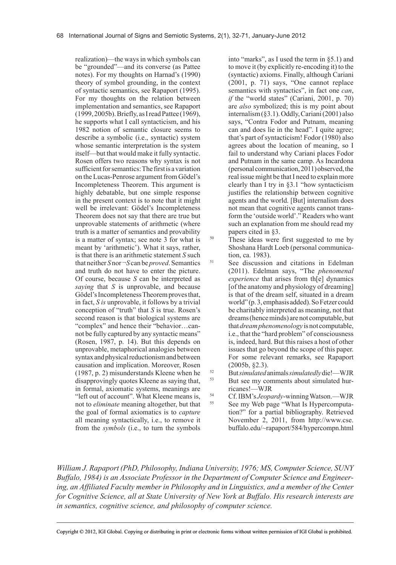realization)—the ways in which symbols can be "grounded"—and its converse (as Pattee notes). For my thoughts on Harnad's (1990) theory of symbol grounding, in the context of syntactic semantics, see Rapaport (1995). For my thoughts on the relation between implementation and semantics, see Rapaport (1999, 2005b). Briefly, as I read Pattee (1969), he supports what I call syntacticism, and his 1982 notion of semantic closure seems to describe a symbolic (i.e., syntactic) system whose semantic interpretation is the system itself—but that would make it fully syntactic. Rosen offers two reasons why syntax is not sufficient for semantics: The first is a variation on the Lucas-Penrose argument from Gödel's Incompleteness Theorem. This argument is highly debatable, but one simple response in the present context is to note that it might well be irrelevant: Gödel's Incompleteness Theorem does not say that there are true but unprovable statements of arithmetic (where truth is a matter of semantics and provability is a matter of syntax; see note 3 for what is meant by 'arithmetic'). What it says, rather, is that there is an arithmetic statement *S* such that neither *S* nor ¬*S* can be *proved*. Semantics and truth do not have to enter the picture. Of course, because *S* can be interpreted as *saying* that *S* is unprovable, and because Gödel's Incompleteness Theorem proves that, in fact, *S is* unprovable, it follows by a trivial conception of "truth" that *S* is true. Rosen's second reason is that biological systems are "complex" and hence their "behavior…cannot be fully captured by any syntactic means" (Rosen, 1987, p. 14). But this depends on unprovable, metaphorical analogies between syntax and physical reductionism and between causation and implication. Moreover, Rosen (1987, p. 2) misunderstands Kleene when he disapprovingly quotes Kleene as saying that, in formal, axiomatic systems, meanings are "left out of account". What Kleene means is, not to *eliminate* meaning altogether, but that the goal of formal axiomatics is to *capture* all meaning syntactically, i.e., to remove it from the *symbols* (i.e., to turn the symbols

into "marks", as I used the term in §5.1) and to move it (by explicitly re-encoding it) to the (syntactic) axioms. Finally, although Cariani (2001, p. 71) says, "One cannot replace semantics with syntactics", in fact one *can*, *if* the "world states" (Cariani, 2001, p. 70) are *also* symbolized; this is my point about internalism (§3.1). Oddly, Cariani (2001) also says, "Contra Fodor and Putnam, meaning can and does lie in the head". I quite agree; that's part of syntacticism! Fodor (1980) also agrees about the location of meaning, so I fail to understand why Cariani places Fodor and Putnam in the same camp. As Incardona (personal communication, 2011) observed, the real issue might be that I need to explain more clearly than I try in §3.1 "how syntacticism justifies the relationship between cognitive agents and the world. [But] internalism does not mean that cognitive agents cannot transform the 'outside world'." Readers who want such an explanation from me should read my papers cited in §3.

<sup>50</sup> These ideas were first suggested to me by Shoshana Hardt Loeb (personal communication, ca. 1983).

- <sup>51</sup> See discussion and citations in Edelman (2011). Edelman says, "The *phenomenal experience* that arises from th[e] dynamics [of the anatomy and physiology of dreaming] is that of the dream self, situated in a dream world" (p. 3, emphasis added). So Fetzer could be charitably interpreted as meaning, not that dreams (hence minds) are not computable, but that *dreamphenomenology* is not computable, i.e., that the "hard problem" of consciousness is, indeed, hard. But this raises a host of other issues that go beyond the scope of this paper. For some relevant remarks, see Rapaport (2005b, §2.3).
- 52 But *simulated* animals *simulatedly* die!—WJR But see my comments about simulated hurricanes!—WJR
- 54 Cf. IBM's *Jeopardy*-winning Watson.—WJR See my Web page "What Is Hypercomputation?" for a partial bibliography. Retrieved November 2, 2011, from http://www.cse. buffalo.edu/~rapaport/584/hypercompn.html

*William J. Rapaport (PhD, Philosophy, Indiana University, 1976; MS, Computer Science, SUNY Buffalo, 1984) is an Associate Professor in the Department of Computer Science and Engineering, an Affiliated Faculty member in Philosophy and in Linguistics, and a member of the Center for Cognitive Science, all at State University of New York at Buffalo. His research interests are in semantics, cognitive science, and philosophy of computer science.*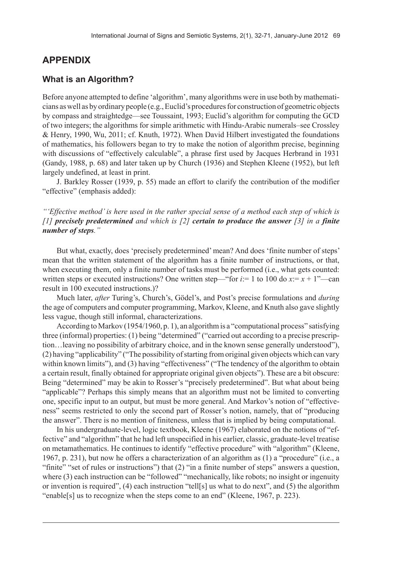## **APPENDIX**

#### **What is an Algorithm?**

Before anyone attempted to define 'algorithm', many algorithms were in use both by mathematicians as well as by ordinary people (e.g., Euclid's procedures for construction of geometric objects by compass and straightedge—see Toussaint, 1993; Euclid's algorithm for computing the GCD of two integers; the algorithms for simple arithmetic with Hindu-Arabic numerals–see Crossley & Henry, 1990, Wu, 2011; cf. Knuth, 1972). When David Hilbert investigated the foundations of mathematics, his followers began to try to make the notion of algorithm precise, beginning with discussions of "effectively calculable", a phrase first used by Jacques Herbrand in 1931 (Gandy, 1988, p. 68) and later taken up by Church (1936) and Stephen Kleene (1952), but left largely undefined, at least in print.

J. Barkley Rosser (1939, p. 55) made an effort to clarify the contribution of the modifier "effective" (emphasis added):

*"'Effective method' is here used in the rather special sense of a method each step of which is [1] precisely predetermined and which is [2] certain to produce the answer [3] in a finite number of steps."*

But what, exactly, does 'precisely predetermined' mean? And does 'finite number of steps' mean that the written statement of the algorithm has a finite number of instructions, or that, when executing them, only a finite number of tasks must be performed (i.e., what gets counted: written steps or executed instructions? One written step—"for  $i=1$  to 100 do  $x=x+1$ "—can result in 100 executed instructions.)?

Much later, *after* Turing's, Church's, Gödel's, and Post's precise formulations and *during* the age of computers and computer programming, Markov, Kleene, and Knuth also gave slightly less vague, though still informal, characterizations.

According to Markov (1954/1960, p. 1), an algorithm is a "computational process" satisfying three (informal) properties: (1) being "determined" ("carried out according to a precise prescription…leaving no possibility of arbitrary choice, and in the known sense generally understood"), (2) having "applicability" ("The possibility of starting from original given objects which can vary within known limits"), and (3) having "effectiveness" ("The tendency of the algorithm to obtain a certain result, finally obtained for appropriate original given objects"). These are a bit obscure: Being "determined" may be akin to Rosser's "precisely predetermined". But what about being "applicable"? Perhaps this simply means that an algorithm must not be limited to converting one, specific input to an output, but must be more general. And Markov's notion of "effectiveness" seems restricted to only the second part of Rosser's notion, namely, that of "producing the answer". There is no mention of finiteness, unless that is implied by being computational.

In his undergraduate-level, logic textbook, Kleene (1967) elaborated on the notions of "effective" and "algorithm" that he had left unspecified in his earlier, classic, graduate-level treatise on metamathematics. He continues to identify "effective procedure" with "algorithm" (Kleene, 1967, p. 231), but now he offers a characterization of an algorithm as (1) a "procedure" (i.e., a "finite" "set of rules or instructions") that (2) "in a finite number of steps" answers a question, where (3) each instruction can be "followed" "mechanically, like robots; no insight or ingenuity or invention is required", (4) each instruction "tell[s] us what to do next", and (5) the algorithm "enable[s] us to recognize when the steps come to an end" (Kleene, 1967, p. 223).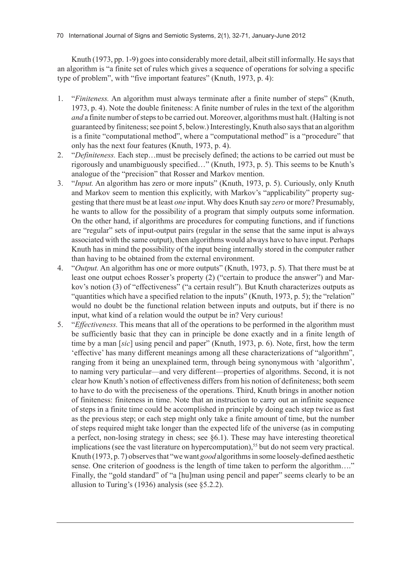Knuth (1973, pp. 1-9) goes into considerably more detail, albeit still informally. He says that an algorithm is "a finite set of rules which gives a sequence of operations for solving a specific type of problem", with "five important features" (Knuth, 1973, p. 4):

- 1. "*Finiteness.* An algorithm must always terminate after a finite number of steps" (Knuth, 1973, p. 4). Note the double finiteness: A finite number of rules in the text of the algorithm *and* a finite number of steps to be carried out. Moreover, algorithms must halt. (Halting is not guaranteed by finiteness; see point 5, below.) Interestingly, Knuth also says that an algorithm is a finite "computational method", where a "computational method" is a "procedure" that only has the next four features (Knuth, 1973, p. 4).
- 2. "*Definiteness.* Each step…must be precisely defined; the actions to be carried out must be rigorously and unambiguously specified…" (Knuth, 1973, p. 5). This seems to be Knuth's analogue of the "precision" that Rosser and Markov mention.
- 3. "*Input.* An algorithm has zero or more inputs" (Knuth, 1973, p. 5). Curiously, only Knuth and Markov seem to mention this explicitly, with Markov's "applicability" property suggesting that there must be at least *one* input. Why does Knuth say *zero* or more? Presumably, he wants to allow for the possibility of a program that simply outputs some information. On the other hand, if algorithms are procedures for computing functions, and if functions are "regular" sets of input-output pairs (regular in the sense that the same input is always associated with the same output), then algorithms would always have to have input. Perhaps Knuth has in mind the possibility of the input being internally stored in the computer rather than having to be obtained from the external environment.
- 4. "*Output.* An algorithm has one or more outputs" (Knuth, 1973, p. 5). That there must be at least one output echoes Rosser's property (2) ("certain to produce the answer") and Markov's notion (3) of "effectiveness" ("a certain result"). But Knuth characterizes outputs as "quantities which have a specified relation to the inputs" (Knuth, 1973, p. 5); the "relation" would no doubt be the functional relation between inputs and outputs, but if there is no input, what kind of a relation would the output be in? Very curious!
- 5. "*Effectiveness.* This means that all of the operations to be performed in the algorithm must be sufficiently basic that they can in principle be done exactly and in a finite length of time by a man [*sic*] using pencil and paper" (Knuth, 1973, p. 6). Note, first, how the term 'effective' has many different meanings among all these characterizations of "algorithm", ranging from it being an unexplained term, through being synonymous with 'algorithm', to naming very particular—and very different—properties of algorithms. Second, it is not clear how Knuth's notion of effectiveness differs from his notion of definiteness; both seem to have to do with the preciseness of the operations. Third, Knuth brings in another notion of finiteness: finiteness in time. Note that an instruction to carry out an infinite sequence of steps in a finite time could be accomplished in principle by doing each step twice as fast as the previous step; or each step might only take a finite amount of time, but the number of steps required might take longer than the expected life of the universe (as in computing a perfect, non-losing strategy in chess; see §6.1). These may have interesting theoretical implications (see the vast literature on hypercomputation),<sup>55</sup> but do not seem very practical. Knuth (1973, p. 7) observes that "we want *good* algorithms in some loosely-defined aesthetic sense. One criterion of goodness is the length of time taken to perform the algorithm…." Finally, the "gold standard" of "a [hu]man using pencil and paper" seems clearly to be an allusion to Turing's (1936) analysis (see §5.2.2).